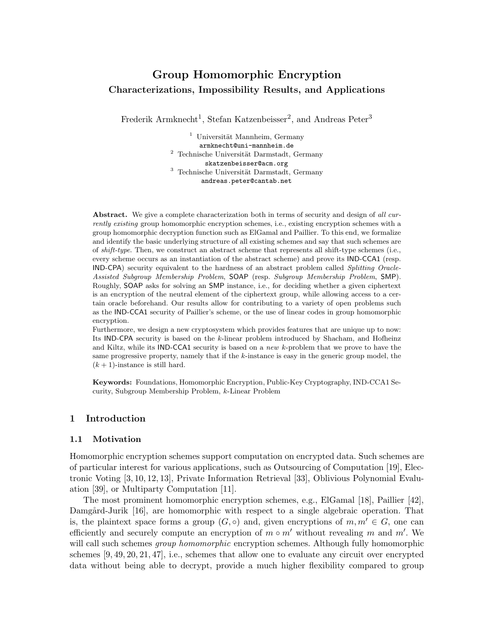## Group Homomorphic Encryption Characterizations, Impossibility Results, and Applications

Frederik Armknecht<sup>1</sup>, Stefan Katzenbeisser<sup>2</sup>, and Andreas Peter<sup>3</sup>

 $1$  Universität Mannheim, Germany armknecht@uni-mannheim.de Technische Universität Darmstadt, Germany skatzenbeisser@acm.org  $3$  Technische Universität Darmstadt, Germany andreas.peter@cantab.net

Abstract. We give a complete characterization both in terms of security and design of *all currently existing* group homomorphic encryption schemes, i.e., existing encryption schemes with a group homomorphic decryption function such as ElGamal and Paillier. To this end, we formalize and identify the basic underlying structure of all existing schemes and say that such schemes are of *shift-type*. Then, we construct an abstract scheme that represents all shift-type schemes (i.e., every scheme occurs as an instantiation of the abstract scheme) and prove its IND-CCA1 (resp. IND-CPA) security equivalent to the hardness of an abstract problem called *Splitting Oracle-Assisted Subgroup Membership Problem*, SOAP (resp. *Subgroup Membership Problem*, SMP). Roughly, SOAP asks for solving an SMP instance, i.e., for deciding whether a given ciphertext is an encryption of the neutral element of the ciphertext group, while allowing access to a certain oracle beforehand. Our results allow for contributing to a variety of open problems such as the IND-CCA1 security of Paillier's scheme, or the use of linear codes in group homomorphic encryption.

Furthermore, we design a new cryptosystem which provides features that are unique up to now: Its IND-CPA security is based on the k-linear problem introduced by Shacham, and Hofheinz and Kiltz, while its IND-CCA1 security is based on a *new* k-problem that we prove to have the same progressive property, namely that if the  $k$ -instance is easy in the generic group model, the  $(k + 1)$ -instance is still hard.

Keywords: Foundations, Homomorphic Encryption, Public-Key Cryptography, IND-CCA1 Security, Subgroup Membership Problem, k-Linear Problem

## 1 Introduction

## 1.1 Motivation

Homomorphic encryption schemes support computation on encrypted data. Such schemes are of particular interest for various applications, such as Outsourcing of Computation [19], Electronic Voting [3, 10, 12, 13], Private Information Retrieval [33], Oblivious Polynomial Evaluation [39], or Multiparty Computation [11].

The most prominent homomorphic encryption schemes, e.g., ElGamal [18], Paillier [42], Damgård-Jurik [16], are homomorphic with respect to a single algebraic operation. That is, the plaintext space forms a group  $(G, \circ)$  and, given encryptions of  $m, m' \in G$ , one can efficiently and securely compute an encryption of  $m \circ m'$  without revealing m and m'. We will call such schemes *group homomorphic* encryption schemes. Although fully homomorphic schemes [9, 49, 20, 21, 47], i.e., schemes that allow one to evaluate any circuit over encrypted data without being able to decrypt, provide a much higher flexibility compared to group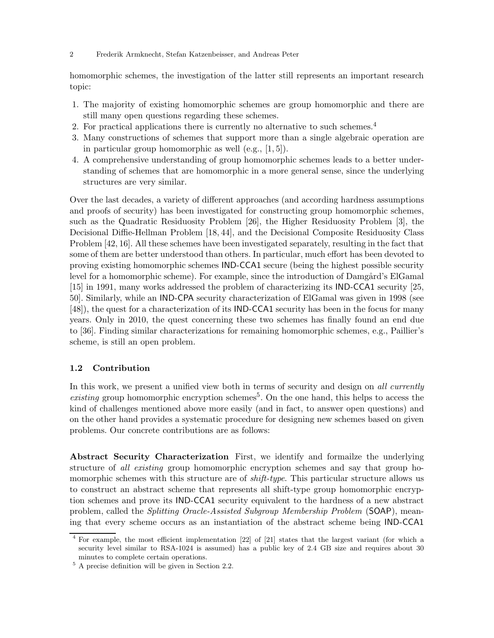homomorphic schemes, the investigation of the latter still represents an important research topic:

- 1. The majority of existing homomorphic schemes are group homomorphic and there are still many open questions regarding these schemes.
- 2. For practical applications there is currently no alternative to such schemes.<sup>4</sup>
- 3. Many constructions of schemes that support more than a single algebraic operation are in particular group homomorphic as well (e.g., [1, 5]).
- 4. A comprehensive understanding of group homomorphic schemes leads to a better understanding of schemes that are homomorphic in a more general sense, since the underlying structures are very similar.

Over the last decades, a variety of different approaches (and according hardness assumptions and proofs of security) has been investigated for constructing group homomorphic schemes, such as the Quadratic Residuosity Problem [26], the Higher Residuosity Problem [3], the Decisional Diffie-Hellman Problem [18, 44], and the Decisional Composite Residuosity Class Problem [42, 16]. All these schemes have been investigated separately, resulting in the fact that some of them are better understood than others. In particular, much effort has been devoted to proving existing homomorphic schemes IND-CCA1 secure (being the highest possible security level for a homomorphic scheme). For example, since the introduction of Damgård's ElGamal [15] in 1991, many works addressed the problem of characterizing its IND-CCA1 security [25, 50]. Similarly, while an IND-CPA security characterization of ElGamal was given in 1998 (see [48]), the quest for a characterization of its IND-CCA1 security has been in the focus for many years. Only in 2010, the quest concerning these two schemes has finally found an end due to [36]. Finding similar characterizations for remaining homomorphic schemes, e.g., Paillier's scheme, is still an open problem.

## 1.2 Contribution

In this work, we present a unified view both in terms of security and design on all currently  $existing$  group homomorphic encryption schemes<sup>5</sup>. On the one hand, this helps to access the kind of challenges mentioned above more easily (and in fact, to answer open questions) and on the other hand provides a systematic procedure for designing new schemes based on given problems. Our concrete contributions are as follows:

Abstract Security Characterization First, we identify and formailze the underlying structure of all existing group homomorphic encryption schemes and say that group homomorphic schemes with this structure are of *shift-type*. This particular structure allows us to construct an abstract scheme that represents all shift-type group homomorphic encryption schemes and prove its IND-CCA1 security equivalent to the hardness of a new abstract problem, called the Splitting Oracle-Assisted Subgroup Membership Problem (SOAP), meaning that every scheme occurs as an instantiation of the abstract scheme being IND-CCA1

<sup>4</sup> For example, the most efficient implementation [22] of [21] states that the largest variant (for which a security level similar to RSA-1024 is assumed) has a public key of 2.4 GB size and requires about 30 minutes to complete certain operations.

<sup>5</sup> A precise definition will be given in Section 2.2.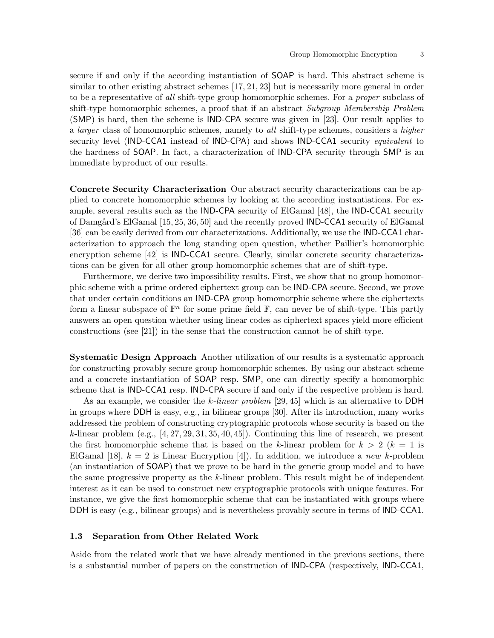secure if and only if the according instantiation of SOAP is hard. This abstract scheme is similar to other existing abstract schemes [17, 21, 23] but is necessarily more general in order to be a representative of all shift-type group homomorphic schemes. For a *proper* subclass of shift-type homomorphic schemes, a proof that if an abstract Subgroup Membership Problem (SMP) is hard, then the scheme is IND-CPA secure was given in [23]. Our result applies to a larger class of homomorphic schemes, namely to all shift-type schemes, considers a higher security level (IND-CCA1 instead of IND-CPA) and shows IND-CCA1 security *equivalent* to the hardness of SOAP. In fact, a characterization of IND-CPA security through SMP is an immediate byproduct of our results.

Concrete Security Characterization Our abstract security characterizations can be applied to concrete homomorphic schemes by looking at the according instantiations. For example, several results such as the IND-CPA security of ElGamal [48], the IND-CCA1 security of Damgård's ElGamal [15, 25, 36, 50] and the recently proved **IND-CCA1** security of ElGamal [36] can be easily derived from our characterizations. Additionally, we use the IND-CCA1 characterization to approach the long standing open question, whether Paillier's homomorphic encryption scheme [42] is IND-CCA1 secure. Clearly, similar concrete security characterizations can be given for all other group homomorphic schemes that are of shift-type.

Furthermore, we derive two impossibility results. First, we show that no group homomorphic scheme with a prime ordered ciphertext group can be IND-CPA secure. Second, we prove that under certain conditions an IND-CPA group homomorphic scheme where the ciphertexts form a linear subspace of  $\mathbb{F}^n$  for some prime field  $\mathbb{F}$ , can never be of shift-type. This partly answers an open question whether using linear codes as ciphertext spaces yield more efficient constructions (see [21]) in the sense that the construction cannot be of shift-type.

Systematic Design Approach Another utilization of our results is a systematic approach for constructing provably secure group homomorphic schemes. By using our abstract scheme and a concrete instantiation of SOAP resp. SMP, one can directly specify a homomorphic scheme that is IND-CCA1 resp. IND-CPA secure if and only if the respective problem is hard.

As an example, we consider the k-linear problem  $[29, 45]$  which is an alternative to DDH in groups where DDH is easy, e.g., in bilinear groups [30]. After its introduction, many works addressed the problem of constructing cryptographic protocols whose security is based on the  $k$ -linear problem (e.g.,  $[4, 27, 29, 31, 35, 40, 45]$ ). Continuing this line of research, we present the first homomorphic scheme that is based on the k-linear problem for  $k > 2$  ( $k = 1$  is ElGamal [18],  $k = 2$  is Linear Encryption [4]). In addition, we introduce a new k-problem (an instantiation of SOAP) that we prove to be hard in the generic group model and to have the same progressive property as the  $k$ -linear problem. This result might be of independent interest as it can be used to construct new cryptographic protocols with unique features. For instance, we give the first homomorphic scheme that can be instantiated with groups where DDH is easy (e.g., bilinear groups) and is nevertheless provably secure in terms of IND-CCA1.

## 1.3 Separation from Other Related Work

Aside from the related work that we have already mentioned in the previous sections, there is a substantial number of papers on the construction of IND-CPA (respectively, IND-CCA1,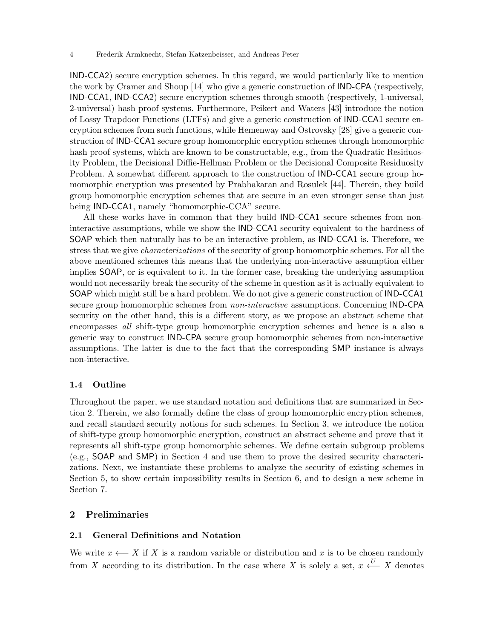IND-CCA2) secure encryption schemes. In this regard, we would particularly like to mention the work by Cramer and Shoup [14] who give a generic construction of IND-CPA (respectively, IND-CCA1, IND-CCA2) secure encryption schemes through smooth (respectively, 1-universal, 2-universal) hash proof systems. Furthermore, Peikert and Waters [43] introduce the notion of Lossy Trapdoor Functions (LTFs) and give a generic construction of IND-CCA1 secure encryption schemes from such functions, while Hemenway and Ostrovsky [28] give a generic construction of IND-CCA1 secure group homomorphic encryption schemes through homomorphic hash proof systems, which are known to be constructable, e.g., from the Quadratic Residuosity Problem, the Decisional Diffie-Hellman Problem or the Decisional Composite Residuosity Problem. A somewhat different approach to the construction of IND-CCA1 secure group homomorphic encryption was presented by Prabhakaran and Rosulek [44]. Therein, they build group homomorphic encryption schemes that are secure in an even stronger sense than just being IND-CCA1, namely "homomorphic-CCA" secure.

All these works have in common that they build IND-CCA1 secure schemes from noninteractive assumptions, while we show the IND-CCA1 security equivalent to the hardness of SOAP which then naturally has to be an interactive problem, as IND-CCA1 is. Therefore, we stress that we give characterizations of the security of group homomorphic schemes. For all the above mentioned schemes this means that the underlying non-interactive assumption either implies SOAP, or is equivalent to it. In the former case, breaking the underlying assumption would not necessarily break the security of the scheme in question as it is actually equivalent to SOAP which might still be a hard problem. We do not give a generic construction of IND-CCA1 secure group homomorphic schemes from *non-interactive* assumptions. Concerning **IND-CPA** security on the other hand, this is a different story, as we propose an abstract scheme that encompasses all shift-type group homomorphic encryption schemes and hence is a also a generic way to construct IND-CPA secure group homomorphic schemes from non-interactive assumptions. The latter is due to the fact that the corresponding SMP instance is always non-interactive.

## 1.4 Outline

Throughout the paper, we use standard notation and definitions that are summarized in Section 2. Therein, we also formally define the class of group homomorphic encryption schemes, and recall standard security notions for such schemes. In Section 3, we introduce the notion of shift-type group homomorphic encryption, construct an abstract scheme and prove that it represents all shift-type group homomorphic schemes. We define certain subgroup problems (e.g., SOAP and SMP) in Section 4 and use them to prove the desired security characterizations. Next, we instantiate these problems to analyze the security of existing schemes in Section 5, to show certain impossibility results in Section 6, and to design a new scheme in Section 7.

## 2 Preliminaries

## 2.1 General Definitions and Notation

We write  $x \leftarrow X$  if X is a random variable or distribution and x is to be chosen randomly from X according to its distribution. In the case where X is solely a set,  $x \stackrel{U}{\longleftarrow} X$  denotes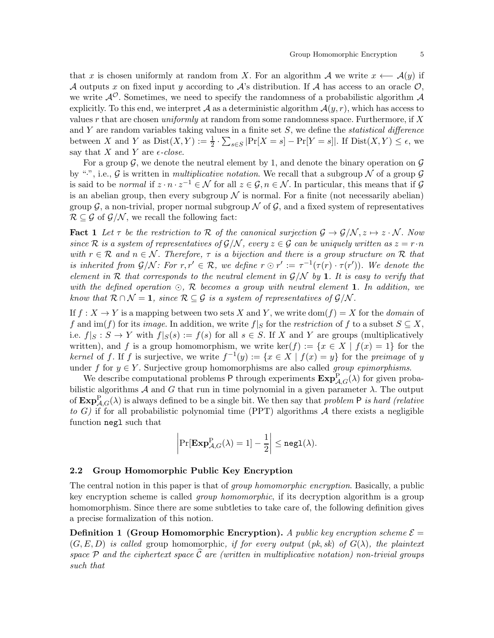that x is chosen uniformly at random from X. For an algorithm A we write  $x \leftarrow A(y)$  if A outputs x on fixed input y according to A's distribution. If A has access to an oracle  $\mathcal{O}$ , we write  $\mathcal{A}^{\mathcal{O}}$ . Sometimes, we need to specify the randomness of a probabilistic algorithm  $\mathcal{A}$ explicitly. To this end, we interpret A as a deterministic algorithm  $\mathcal{A}(y,r)$ , which has access to values  $r$  that are chosen *uniformly* at random from some randomness space. Furthermore, if  $X$ and Y are random variables taking values in a finite set  $S$ , we define the *statistical difference* between X and Y as  $Dist(X, Y) := \frac{1}{2} \cdot \sum_{s \in S} |Pr[X = s] - Pr[Y = s]|$ . If  $Dist(X, Y) \le \epsilon$ , we say that X and Y are  $\epsilon$ -close.

For a group  $\mathcal{G}$ , we denote the neutral element by 1, and denote the binary operation on  $\mathcal{G}$ by ".", i.e., G is written in multiplicative notation. We recall that a subgroup  $\mathcal N$  of a group  $\mathcal G$ is said to be normal if  $z \cdot n \cdot z^{-1} \in \mathcal{N}$  for all  $z \in \mathcal{G}, n \in \mathcal{N}$ . In particular, this means that if  $\mathcal{G}$ is an abelian group, then every subgroup  $\mathcal N$  is normal. For a finite (not necessarily abelian) group  $\mathcal G$ , a non-trivial, proper normal subgroup  $\mathcal N$  of  $\mathcal G$ , and a fixed system of representatives  $\mathcal{R} \subseteq \mathcal{G}$  of  $\mathcal{G}/\mathcal{N}$ , we recall the following fact:

**Fact 1** Let  $\tau$  be the restriction to R of the canonical surjection  $\mathcal{G} \to \mathcal{G}/\mathcal{N}, z \mapsto z \cdot \mathcal{N}$ . Now since R is a system of representatives of  $\mathcal{G}/\mathcal{N}$ , every  $z \in \mathcal{G}$  can be uniquely written as  $z = r \cdot n$ with  $r \in \mathcal{R}$  and  $n \in \mathcal{N}$ . Therefore,  $\tau$  is a bijection and there is a group structure on R that is inherited from  $\mathcal{G}/\mathcal{N}$ : For  $r, r' \in \mathcal{R}$ , we define  $r \odot r' := \tau^{-1}(\tau(r) \cdot \tau(r'))$ . We denote the element in  $R$  that corresponds to the neutral element in  $\mathcal{G}/\mathcal{N}$  by 1. It is easy to verify that with the defined operation  $\odot$ , R becomes a group with neutral element 1. In addition, we know that  $\mathcal{R} \cap \mathcal{N} = 1$ , since  $\mathcal{R} \subseteq \mathcal{G}$  is a system of representatives of  $\mathcal{G}/\mathcal{N}$ .

If  $f: X \to Y$  is a mapping between two sets X and Y, we write  $dom(f) = X$  for the *domain* of f and im(f) for its *image*. In addition, we write  $f|_S$  for the *restriction* of f to a subset  $S \subseteq X$ , i.e.  $f|_S : S \to Y$  with  $f|_S(s) := f(s)$  for all  $s \in S$ . If X and Y are groups (multiplicatively written), and f is a group homomorphism, we write ker(f) :=  $\{x \in X \mid f(x) = 1\}$  for the kernel of f. If f is surjective, we write  $f^{-1}(y) := \{x \in X \mid f(x) = y\}$  for the preimage of y under f for  $y \in Y$ . Surjective group homomorphisms are also called group epimorphisms.

We describe computational problems  $P$  through experiments  $\text{Exp}_{\mathcal{A},G}^P(\lambda)$  for given probabilistic algorithms  $A$  and  $G$  that run in time polynomial in a given parameter  $\lambda$ . The output of  $\text{Exp}_{\mathcal{A},G}^{\text{P}}(\lambda)$  is always defined to be a single bit. We then say that problem P is hard (relative to G) if for all probabilistic polynomial time (PPT) algorithms  $A$  there exists a negligible function negl such that

$$
\left|\Pr[\mathbf{Exp}^{\mathbf{P}}_{\mathcal{A},G}(\lambda)=1]-\frac{1}{2}\right|\leq \mathtt{negl}(\lambda).
$$

#### 2.2 Group Homomorphic Public Key Encryption

The central notion in this paper is that of group homomorphic encryption. Basically, a public key encryption scheme is called group homomorphic, if its decryption algorithm is a group homomorphism. Since there are some subtleties to take care of, the following definition gives a precise formalization of this notion.

**Definition 1 (Group Homomorphic Encryption).** A public key encryption scheme  $\mathcal{E} =$  $(G, E, D)$  is called group homomorphic, if for every output (pk, sk) of  $G(\lambda)$ , the plaintext space  $P$  and the ciphertext space  $\widehat{C}$  are (written in multiplicative notation) non-trivial groups such that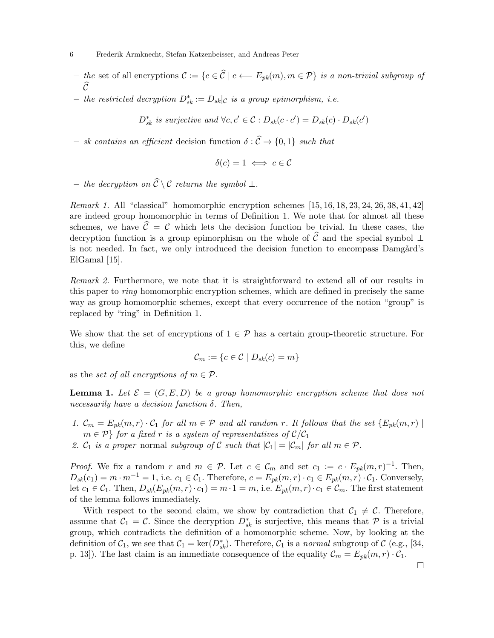- the set of all encryptions  $\mathcal{C} := \{c \in \widehat{\mathcal{C}} \mid c \longleftarrow E_{pk}(m), m \in \mathcal{P}\}\$ is a non-trivial subgroup of  $\mathcal{C}_{\mathcal{C}}$
- − the restricted decryption  $D_{sk}^* := D_{sk} | c$  is a group epimorphism, i.e.

$$
D_{sk}^*
$$
 is surjective and  $\forall c, c' \in C : D_{sk}(c \cdot c') = D_{sk}(c) \cdot D_{sk}(c')$ 

– sk contains an efficient decision function  $\delta : \widehat{C} \to \{0,1\}$  such that

$$
\delta(c)=1\iff c\in\mathcal{C}
$$

– the decryption on  $\widehat{C} \setminus C$  returns the symbol ⊥.

Remark 1. All "classical" homomorphic encryption schemes [15, 16, 18, 23, 24, 26, 38, 41, 42] are indeed group homomorphic in terms of Definition 1. We note that for almost all these schemes, we have  $\hat{\mathcal{C}} = \mathcal{C}$  which lets the decision function be trivial. In these cases, the decryption function is a group epimorphism on the whole of  $\widehat{\mathcal{C}}$  and the special symbol ⊥ is not needed. In fact, we only introduced the decision function to encompass Damgård's ElGamal [15].

Remark 2. Furthermore, we note that it is straightforward to extend all of our results in this paper to ring homomorphic encryption schemes, which are defined in precisely the same way as group homomorphic schemes, except that every occurrence of the notion "group" is replaced by "ring" in Definition 1.

We show that the set of encryptions of  $1 \in \mathcal{P}$  has a certain group-theoretic structure. For this, we define

$$
\mathcal{C}_m := \{ c \in \mathcal{C} \mid D_{sk}(c) = m \}
$$

as the set of all encryptions of  $m \in \mathcal{P}$ .

**Lemma 1.** Let  $\mathcal{E} = (G, E, D)$  be a group homomorphic encryption scheme that does not necessarily have a decision function  $\delta$ . Then,

- 1.  $\mathcal{C}_m = E_{pk}(m,r) \cdot \mathcal{C}_1$  for all  $m \in \mathcal{P}$  and all random r. It follows that the set  $\{E_{pk}(m,r) \mid$  $m \in \mathcal{P}$  for a fixed r is a system of representatives of  $\mathcal{C}/\mathcal{C}_1$
- 2.  $C_1$  is a proper normal subgroup of C such that  $|C_1| = |C_m|$  for all  $m \in \mathcal{P}$ .

*Proof.* We fix a random r and  $m \in \mathcal{P}$ . Let  $c \in \mathcal{C}_m$  and set  $c_1 := c \cdot E_{pk}(m, r)^{-1}$ . Then,  $D_{sk}(c_1) = m \cdot m^{-1} = 1$ , i.e.  $c_1 \in C_1$ . Therefore,  $c = E_{pk}(m, r) \cdot c_1 \in E_{pk}(m, r) \cdot C_1$ . Conversely, let  $c_1 \in \mathcal{C}_1$ . Then,  $D_{sk}(E_{pk}(m,r) \cdot c_1) = m \cdot 1 = m$ , i.e.  $E_{pk}(m,r) \cdot c_1 \in \mathcal{C}_m$ . The first statement of the lemma follows immediately.

With respect to the second claim, we show by contradiction that  $C_1 \neq C$ . Therefore, assume that  $C_1 = C$ . Since the decryption  $D_{sk}^*$  is surjective, this means that  $\mathcal P$  is a trivial group, which contradicts the definition of a homomorphic scheme. Now, by looking at the definition of  $C_1$ , we see that  $C_1 = \text{ker}(D_{sk}^*)$ . Therefore,  $C_1$  is a normal subgroup of C (e.g., [34, p. 13]). The last claim is an immediate consequence of the equality  $\mathcal{C}_m = E_{pk}(m, r) \cdot \mathcal{C}_1$ .

 $\Box$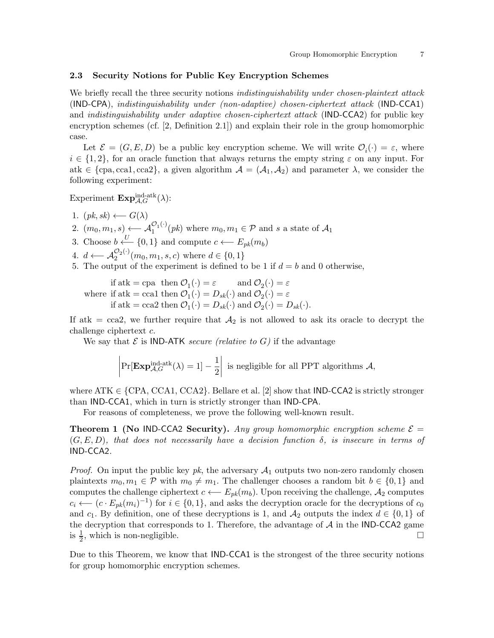## 2.3 Security Notions for Public Key Encryption Schemes

We briefly recall the three security notions *indistinguishability under chosen-plaintext* attack (IND-CPA), indistinguishability under (non-adaptive) chosen-ciphertext attack (IND-CCA1) and indistinguishability under adaptive chosen-ciphertext attack (IND-CCA2) for public key encryption schemes (cf. [2, Definition 2.1]) and explain their role in the group homomorphic case.

Let  $\mathcal{E} = (G, E, D)$  be a public key encryption scheme. We will write  $\mathcal{O}_i(\cdot) = \varepsilon$ , where  $i \in \{1,2\}$ , for an oracle function that always returns the empty string  $\varepsilon$  on any input. For atk  $\in \{cpa, cca1, cca2\}$ , a given algorithm  $\mathcal{A} = (\mathcal{A}_1, \mathcal{A}_2)$  and parameter  $\lambda$ , we consider the following experiment:

Experiment  $\mathbf{Exp}^{\text{ind-atk}}_{\mathcal{A},G}(\lambda)$ :

1.  $(pk, sk) \longleftarrow G(\lambda)$ 

2.  $(m_0, m_1, s) \longleftarrow \mathcal{A}_1^{\mathcal{O}_1(\cdot)}$  $\mathcal{O}_1^{(1)}(pk)$  where  $m_0, m_1 \in \mathcal{P}$  and s a state of  $\mathcal{A}_1$ 

- 3. Choose  $b \stackrel{U}{\longleftarrow} \{0,1\}$  and compute  $c \longleftarrow E_{pk}(m_b)$
- 4. *d* ←  $\mathcal{A}_2^{\mathcal{O}_2(\cdot)}$  $2^{(2\vee)}(m_0, m_1, s, c)$  where  $d \in \{0, 1\}$
- 5. The output of the experiment is defined to be 1 if  $d = b$  and 0 otherwise,

where if atk = ccal then  $\mathcal{O}_1(\cdot) = D_{sk}(\cdot)$  and  $\mathcal{O}_2(\cdot) = \varepsilon$ if atk = cpa then  $\mathcal{O}_1(\cdot) = \varepsilon$  and  $\mathcal{O}_2(\cdot) = \varepsilon$ if atk = cca2 then  $\mathcal{O}_1(\cdot) = D_{sk}(\cdot)$  and  $\mathcal{O}_2(\cdot) = D_{sk}(\cdot)$ .

If atk = cca2, we further require that  $A_2$  is not allowed to ask its oracle to decrypt the challenge ciphertext c.

We say that  $\mathcal E$  is **IND-ATK** secure (relative to G) if the advantage

$$
\left|\Pr[\mathbf{Exp}_{\mathcal{A},G}^{\mathrm{ind}\text{-atk}}(\lambda)=1]-\frac{1}{2}\right| \text{ is negligible for all PPT algorithms } \mathcal{A},
$$

where ATK  $\in$  {CPA, CCA1, CCA2}. Bellare et al. [2] show that **IND-CCA2** is strictly stronger than IND-CCA1, which in turn is strictly stronger than IND-CPA.

For reasons of completeness, we prove the following well-known result.

**Theorem 1 (No IND-CCA2 Security).** Any group homomorphic encryption scheme  $\mathcal{E} =$  $(G, E, D)$ , that does not necessarily have a decision function  $\delta$ , is insecure in terms of IND-CCA2.

*Proof.* On input the public key  $pk$ , the adversary  $A_1$  outputs two non-zero randomly chosen plaintexts  $m_0, m_1 \in \mathcal{P}$  with  $m_0 \neq m_1$ . The challenger chooses a random bit  $b \in \{0, 1\}$  and computes the challenge ciphertext  $c \leftarrow E_{pk}(m_b)$ . Upon receiving the challenge,  $A_2$  computes  $c_i \longleftarrow (c \cdot E_{pk}(m_i)^{-1})$  for  $i \in \{0, 1\}$ , and asks the decryption oracle for the decryptions of  $c_0$ and  $c_1$ . By definition, one of these decryptions is 1, and  $\mathcal{A}_2$  outputs the index  $d \in \{0,1\}$  of the decryption that corresponds to 1. Therefore, the advantage of  $\mathcal A$  in the IND-CCA2 game<br>is  $\frac{1}{\epsilon}$ , which is non-negligible. is  $\frac{1}{2}$ , which is non-negligible.

Due to this Theorem, we know that IND-CCA1 is the strongest of the three security notions for group homomorphic encryption schemes.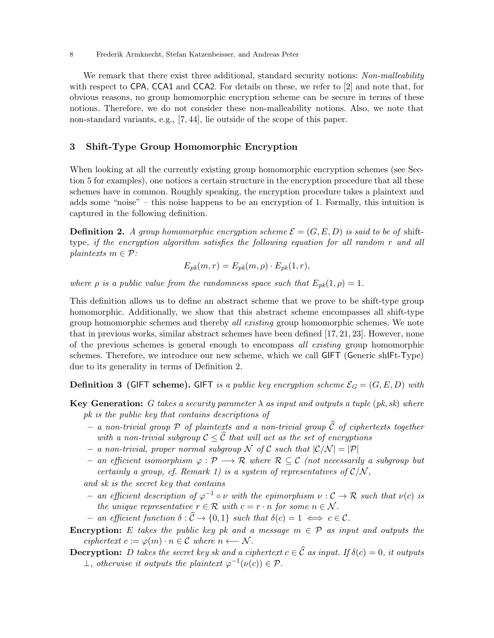We remark that there exist three additional, standard security notions: Non-malleability with respect to CPA, CCA1 and CCA2. For details on these, we refer to [2] and note that, for obvious reasons, no group homomorphic encryption scheme can be secure in terms of these notions. Therefore, we do not consider these non-malleability notions. Also, we note that non-standard variants, e.g., [7, 44], lie outside of the scope of this paper.

## 3 Shift-Type Group Homomorphic Encryption

When looking at all the currently existing group homomorphic encryption schemes (see Section 5 for examples), one notices a certain structure in the encryption procedure that all these schemes have in common. Roughly speaking, the encryption procedure takes a plaintext and adds some "noise" – this noise happens to be an encryption of 1. Formally, this intuition is captured in the following definition.

**Definition 2.** A group homomorphic encryption scheme  $\mathcal{E} = (G, E, D)$  is said to be of shifttype, if the encryption algorithm satisfies the following equation for all random r and all plaintexts  $m \in \mathcal{P}$ :

$$
E_{pk}(m,r) = E_{pk}(m,\rho) \cdot E_{pk}(1,r),
$$

where  $\rho$  is a public value from the randomness space such that  $E_{pk}(1, \rho) = 1$ .

This definition allows us to define an abstract scheme that we prove to be shift-type group homomorphic. Additionally, we show that this abstract scheme encompasses all shift-type group homomorphic schemes and thereby all existing group homomorphic schemes. We note that in previous works, similar abstract schemes have been defined [17, 21, 23]. However, none of the previous schemes is general enough to encompass all existing group homomorphic schemes. Therefore, we introduce our new scheme, which we call GIFT (Generic shIFt-Type) due to its generality in terms of Definition 2.

**Definition 3 (GIFT scheme). GIFT** is a public key encryption scheme  $\mathcal{E}_G = (G, E, D)$  with

- **Key Generation:** G takes a security parameter  $\lambda$  as input and outputs a tuple (pk, sk) where pk is the public key that contains descriptions of
	- a non-trivial group  $P$  of plaintexts and a non-trivial group  $\widehat{C}$  of ciphertexts together with a non-trivial subgroup  $\mathcal{C} \leq \widehat{\mathcal{C}}$  that will act as the set of encryptions
	- a non-trivial, proper normal subgroup N of C such that  $|\mathcal{C}/\mathcal{N}| = |\mathcal{P}|$
	- $-$  an efficient isomorphism  $\varphi$  :  $\mathcal{P}$  → R where R ⊆ C (not necessarily a subgroup but certainly a group, cf. Remark 1) is a system of representatives of  $\mathcal{C}/\mathcal{N}$ ,

and sk is the secret key that contains

- $-$  an efficient description of  $\varphi^{-1} \circ \nu$  with the epimorphism  $\nu : C → R$  such that  $\nu(c)$  is the unique representative  $r \in \mathcal{R}$  with  $c = r \cdot n$  for some  $n \in \mathcal{N}$ .
- $-$  an efficient function  $\delta : \widehat{C} \to \{0,1\}$  such that  $\delta(c) = 1 \iff c \in \mathcal{C}$ .
- **Encryption:** E takes the public key pk and a message  $m \in \mathcal{P}$  as input and outputs the ciphertext  $c := \varphi(m) \cdot n \in \mathcal{C}$  where  $n \leftarrow \mathcal{N}$ .

**Decryption:** D takes the secret key sk and a ciphertext  $c \in \widehat{C}$  as input. If  $\delta(c) = 0$ , it outputs  $\perp$ , otherwise it outputs the plaintext  $\varphi^{-1}(\nu(c)) \in \mathcal{P}$ .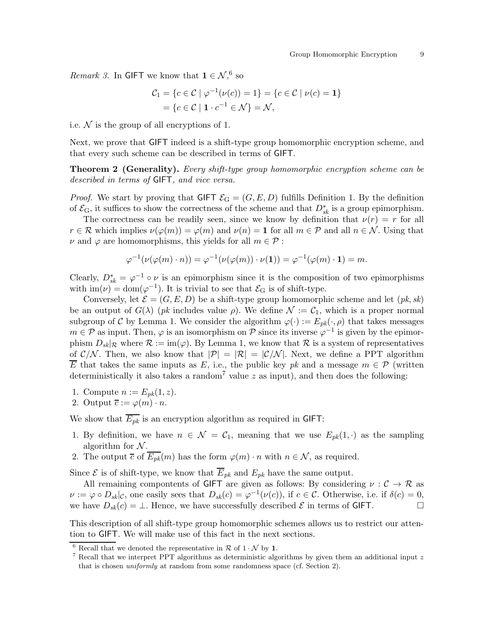*Remark 3.* In GIFT we know that  $1 \in \mathcal{N},^6$  so

$$
C_1 = \{c \in C \mid \varphi^{-1}(\nu(c)) = 1\} = \{c \in C \mid \nu(c) = 1\}
$$
  
=  $\{c \in C \mid 1 \cdot c^{-1} \in \mathcal{N}\} = \mathcal{N},$ 

i.e.  $\mathcal N$  is the group of all encryptions of 1.

Next, we prove that GIFT indeed is a shift-type group homomorphic encryption scheme, and that every such scheme can be described in terms of GIFT.

Theorem 2 (Generality). Every shift-type group homomorphic encryption scheme can be described in terms of GIFT, and vice versa.

*Proof.* We start by proving that GIFT  $\mathcal{E}_G = (G, E, D)$  fulfills Definition 1. By the definition of  $\mathcal{E}_{\mathrm{G}}$ , it suffices to show the correctness of the scheme and that  $D_{sk}^*$  is a group epimorphism.

The correctness can be readily seen, since we know by definition that  $\nu(r) = r$  for all  $r \in \mathcal{R}$  which implies  $\nu(\varphi(m)) = \varphi(m)$  and  $\nu(n) = 1$  for all  $m \in \mathcal{P}$  and all  $n \in \mathcal{N}$ . Using that  $\nu$  and  $\varphi$  are homomorphisms, this yields for all  $m \in \mathcal{P}$ :

$$
\varphi^{-1}(\nu(\varphi(m)\cdot n)) = \varphi^{-1}(\nu(\varphi(m))\cdot \nu(1)) = \varphi^{-1}(\varphi(m)\cdot 1) = m.
$$

Clearly,  $D_{sk}^* = \varphi^{-1} \circ \nu$  is an epimorphism since it is the composition of two epimorphisms with  $\text{im}(\nu) = \text{dom}(\varphi^{-1})$ . It is trivial to see that  $\mathcal{E}_G$  is of shift-type.

Conversely, let  $\mathcal{E} = (G, E, D)$  be a shift-type group homomorphic scheme and let  $(pk, sk)$ be an output of  $G(\lambda)$  (*pk* includes value  $\rho$ ). We define  $\mathcal{N} := \mathcal{C}_1$ , which is a proper normal subgroup of C by Lemma 1. We consider the algorithm  $\varphi(\cdot) := E_{pk}(\cdot, \rho)$  that takes messages  $m \in \mathcal{P}$  as input. Then,  $\varphi$  is an isomorphism on  $\mathcal{P}$  since its inverse  $\varphi^{-1}$  is given by the epimorphism  $D_{sk}|\mathcal{R}$  where  $\mathcal{R} := \text{im}(\varphi)$ . By Lemma 1, we know that  $\mathcal{R}$  is a system of representatives of  $\mathcal{C}/\mathcal{N}$ . Then, we also know that  $|\mathcal{P}| = |\mathcal{R}| = |\mathcal{C}/\mathcal{N}|$ . Next, we define a PPT algorithm  $\overline{E}$  that takes the same inputs as E, i.e., the public key pk and a message  $m \in \mathcal{P}$  (written deterministically it also takes a random<sup>7</sup> value z as input), and then does the following:

- 1. Compute  $n := E_{pk}(1, z)$ .
- 2. Output  $\overline{c} := \varphi(m) \cdot n$ .

We show that  $\overline{E_{pk}}$  is an encryption algorithm as required in GIFT:

- 1. By definition, we have  $n \in \mathcal{N} = \mathcal{C}_1$ , meaning that we use  $E_{pk}(1, \cdot)$  as the sampling algorithm for  $N$ .
- 2. The output  $\overline{c}$  of  $\overline{E_{pk}}(m)$  has the form  $\varphi(m) \cdot n$  with  $n \in \mathcal{N}$ , as required.

Since  $\mathcal E$  is of shift-type, we know that  $\overline{E}_{pk}$  and  $E_{pk}$  have the same output.

All remaining compontents of GIFT are given as follows: By considering  $\nu : \mathcal{C} \to \mathcal{R}$  as  $\nu := \varphi \circ D_{sk} | c$ , one easily sees that  $D_{sk}(c) = \varphi^{-1}(\nu(c))$ , if  $c \in \mathcal{C}$ . Otherwise, i.e. if  $\delta(c) = 0$ , we have  $D_{sk}(c) = \bot$ . Hence, we have successfully described  $\mathcal E$  in terms of GIFT.

This description of all shift-type group homomorphic schemes allows us to restrict our attention to GIFT. We will make use of this fact in the next sections.

 $6$  Recall that we denoted the representative in  $R$  of  $1 \cdot \mathcal{N}$  by 1.

<sup>&</sup>lt;sup>7</sup> Recall that we interpret PPT algorithms as deterministic algorithms by given them an additional input z that is chosen *uniformly* at random from some randomness space (cf. Section 2).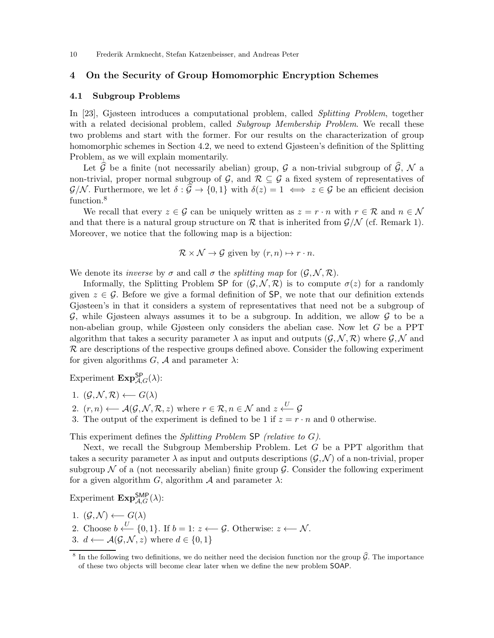## 4 On the Security of Group Homomorphic Encryption Schemes

#### 4.1 Subgroup Problems

In [23], Gjøsteen introduces a computational problem, called Splitting Problem, together with a related decisional problem, called Subgroup Membership Problem. We recall these two problems and start with the former. For our results on the characterization of group homomorphic schemes in Section 4.2, we need to extend Gjøsteen's definition of the Splitting Problem, as we will explain momentarily.

Let  $\widehat{G}$  be a finite (not necessarily abelian) group, G a non-trivial subgroup of  $\widehat{G}$ , N a non-trivial, proper normal subgroup of  $\mathcal{G}$ , and  $\mathcal{R} \subseteq \mathcal{G}$  a fixed system of representatives of  $\mathcal{G}/\mathcal{N}$ . Furthermore, we let  $\delta : \mathcal{G} \to \{0,1\}$  with  $\delta(z) = 1 \iff z \in \mathcal{G}$  be an efficient decision function.<sup>8</sup>

We recall that every  $z \in \mathcal{G}$  can be uniquely written as  $z = r \cdot n$  with  $r \in \mathcal{R}$  and  $n \in \mathcal{N}$ and that there is a natural group structure on R that is inherited from  $\mathcal{G}/\mathcal{N}$  (cf. Remark 1). Moreover, we notice that the following map is a bijection:

$$
\mathcal{R} \times \mathcal{N} \to \mathcal{G}
$$
 given by  $(r, n) \mapsto r \cdot n$ .

We denote its *inverse* by  $\sigma$  and call  $\sigma$  the *splitting map* for  $(\mathcal{G}, \mathcal{N}, \mathcal{R})$ .

Informally, the Splitting Problem SP for  $(\mathcal{G}, \mathcal{N}, \mathcal{R})$  is to compute  $\sigma(z)$  for a randomly given  $z \in \mathcal{G}$ . Before we give a formal definition of SP, we note that our definition extends Gjøsteen's in that it considers a system of representatives that need not be a subgroup of  $\mathcal G$ , while Gjøsteen always assumes it to be a subgroup. In addition, we allow  $\mathcal G$  to be a non-abelian group, while Gjøsteen only considers the abelian case. Now let G be a PPT algorithm that takes a security parameter  $\lambda$  as input and outputs  $(\mathcal{G}, \mathcal{N}, \mathcal{R})$  where  $\mathcal{G}, \mathcal{N}$  and  $R$  are descriptions of the respective groups defined above. Consider the following experiment for given algorithms  $G$ ,  $A$  and parameter  $\lambda$ :

Experiment  $\text{Exp}_{\mathcal{A},G}^{\text{SP}}(\lambda)$ :

1. 
$$
(\mathcal{G}, \mathcal{N}, \mathcal{R}) \longleftarrow G(\lambda)
$$

- 2.  $(r, n) \longleftarrow \mathcal{A}(\mathcal{G}, \mathcal{N}, \mathcal{R}, z)$  where  $r \in \mathcal{R}, n \in \mathcal{N}$  and  $z \stackrel{U}{\longleftarrow} \mathcal{G}$
- 3. The output of the experiment is defined to be 1 if  $z = r \cdot n$  and 0 otherwise.

This experiment defines the Splitting Problem SP (relative to G).

Next, we recall the Subgroup Membership Problem. Let G be a PPT algorithm that takes a security parameter  $\lambda$  as input and outputs descriptions  $(\mathcal{G}, \mathcal{N})$  of a non-trivial, proper subgroup  $\mathcal N$  of a (not necessarily abelian) finite group  $\mathcal G$ . Consider the following experiment for a given algorithm G, algorithm  $\mathcal A$  and parameter  $\lambda$ :

Experiment  $\text{Exp}_{\mathcal{A},G}^{\text{SMP}}(\lambda)$ :

- 1.  $(\mathcal{G}, \mathcal{N}) \longleftarrow G(\lambda)$
- 2. Choose  $b \stackrel{U}{\longleftarrow} \{0, 1\}$ . If  $b = 1: z \longleftarrow \mathcal{G}$ . Otherwise:  $z \longleftarrow \mathcal{N}$ . 3.  $d \leftarrow \mathcal{A}(\mathcal{G}, \mathcal{N}, z)$  where  $d \in \{0, 1\}$

<sup>&</sup>lt;sup>8</sup> In the following two definitions, we do neither need the decision function nor the group  $\widehat{\mathcal{G}}$ . The importance of these two objects will become clear later when we define the new problem SOAP.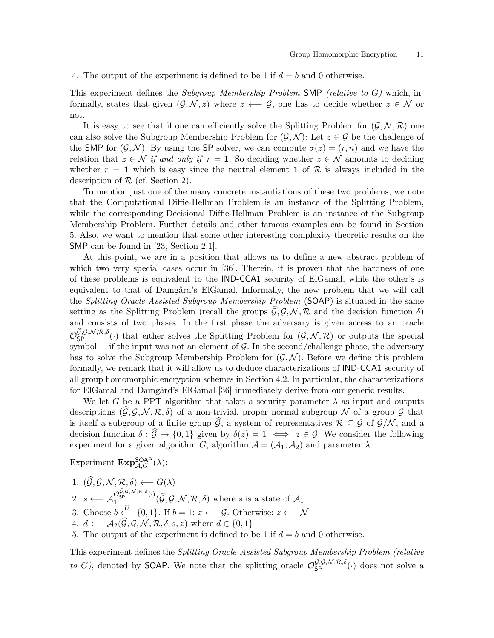#### 4. The output of the experiment is defined to be 1 if  $d = b$  and 0 otherwise.

This experiment defines the Subgroup Membership Problem SMP (relative to  $G$ ) which, informally, states that given  $(\mathcal{G}, \mathcal{N}, z)$  where  $z \leftarrow \mathcal{G}$ , one has to decide whether  $z \in \mathcal{N}$  or not.

It is easy to see that if one can efficiently solve the Splitting Problem for  $(\mathcal{G}, \mathcal{N}, \mathcal{R})$  one can also solve the Subgroup Membership Problem for  $(\mathcal{G}, \mathcal{N})$ : Let  $z \in \mathcal{G}$  be the challenge of the SMP for  $(\mathcal{G}, \mathcal{N})$ . By using the SP solver, we can compute  $\sigma(z) = (r, n)$  and we have the relation that  $z \in \mathcal{N}$  if and only if  $r = 1$ . So deciding whether  $z \in \mathcal{N}$  amounts to deciding whether  $r = 1$  which is easy since the neutral element 1 of  $\mathcal R$  is always included in the description of  $R$  (cf. Section 2).

To mention just one of the many concrete instantiations of these two problems, we note that the Computational Diffie-Hellman Problem is an instance of the Splitting Problem, while the corresponding Decisional Diffie-Hellman Problem is an instance of the Subgroup Membership Problem. Further details and other famous examples can be found in Section 5. Also, we want to mention that some other interesting complexity-theoretic results on the SMP can be found in [23, Section 2.1].

At this point, we are in a position that allows us to define a new abstract problem of which two very special cases occur in [36]. Therein, it is proven that the hardness of one of these problems is equivalent to the IND-CCA1 security of ElGamal, while the other's is equivalent to that of Damgård's ElGamal. Informally, the new problem that we will call the Splitting Oracle-Assisted Subgroup Membership Problem (SOAP) is situated in the same setting as the Splitting Problem (recall the groups  $\widehat{G}, \mathcal{G}, \mathcal{N}, \mathcal{R}$  and the decision function  $\delta$ ) and consists of two phases. In the first phase the adversary is given access to an oracle  $\mathcal{O}_{\mathsf{SP}}^{\mathcal{G},\mathcal{G},\mathcal{N},\mathcal{R},\delta}(\cdot)$  that either solves the Splitting Problem for  $(\mathcal{G},\mathcal{N},\mathcal{R})$  or outputs the special symbol  $\perp$  if the input was not an element of  $\mathcal G$ . In the second/challenge phase, the adversary has to solve the Subgroup Membership Problem for  $(\mathcal{G}, \mathcal{N})$ . Before we define this problem formally, we remark that it will allow us to deduce characterizations of IND-CCA1 security of all group homomorphic encryption schemes in Section 4.2. In particular, the characterizations for ElGamal and Damgård's ElGamal [36] immediately derive from our generic results.

We let G be a PPT algorithm that takes a security parameter  $\lambda$  as input and outputs descriptions  $(\widehat{G}, \mathcal{G}, \mathcal{N}, \mathcal{R}, \delta)$  of a non-trivial, proper normal subgroup N of a group G that is itself a subgroup of a finite group  $\widehat{G}$ , a system of representatives  $\mathcal{R} \subseteq \mathcal{G}$  of  $\mathcal{G}/\mathcal{N}$ , and a decision function  $\delta : \widehat{G} \to \{0,1\}$  given by  $\delta(z) = 1 \iff z \in \mathcal{G}$ . We consider the following experiment for a given algorithm G, algorithm  $\mathcal{A} = (\mathcal{A}_1, \mathcal{A}_2)$  and parameter  $\lambda$ :

Experiment  $\text{Exp}_{\mathcal{A}, G}^{\text{SOAP}}(\lambda)$ :

- 1.  $(\mathcal{G}, \mathcal{G}, \mathcal{N}, \mathcal{R}, \delta) \longleftarrow G(\lambda)$
- 2.  $s \longleftarrow \mathcal{A}_1^{\mathcal{O}_{\mathsf{SP}}^{\widehat{\mathcal{G}},\mathcal{G},\mathcal{N},\mathcal{R},\delta}(\cdot)}$  $\int_1^{\mathcal{S}_{\text{SP}}}$  (*G, G, N, R,*  $\delta$ ) where *s* is a state of  $\mathcal{A}_1$
- 3. Choose  $b \stackrel{U}{\leftarrow} \{0,1\}$ . If  $b = 1: z \longleftarrow \mathcal{G}$ . Otherwise:  $z \longleftarrow \mathcal{N}$
- 4.  $d \leftarrow \mathcal{A}_2(\widehat{\mathcal{G}}, \mathcal{G}, \mathcal{N}, \mathcal{R}, \delta, s, z)$  where  $d \in \{0, 1\}$
- 5. The output of the experiment is defined to be 1 if  $d = b$  and 0 otherwise.

This experiment defines the Splitting Oracle-Assisted Subgroup Membership Problem (relative to G), denoted by SOAP. We note that the splitting oracle  $\mathcal{O}_{SP}^{\mathcal{G},\mathcal{G},\mathcal{N},\mathcal{R},\delta}(\cdot)$  does not solve a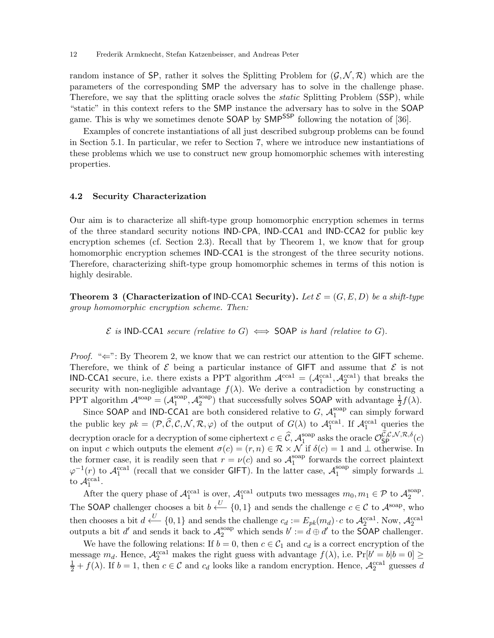random instance of SP, rather it solves the Splitting Problem for  $(\mathcal{G}, \mathcal{N}, \mathcal{R})$  which are the parameters of the corresponding SMP the adversary has to solve in the challenge phase. Therefore, we say that the splitting oracle solves the static Splitting Problem (SSP), while "static" in this context refers to the SMP instance the adversary has to solve in the SOAP game. This is why we sometimes denote **SOAP** by **SMP**<sup>SSP</sup> following the notation of [36].

Examples of concrete instantiations of all just described subgroup problems can be found in Section 5.1. In particular, we refer to Section 7, where we introduce new instantiations of these problems which we use to construct new group homomorphic schemes with interesting properties.

#### 4.2 Security Characterization

Our aim is to characterize all shift-type group homomorphic encryption schemes in terms of the three standard security notions IND-CPA, IND-CCA1 and IND-CCA2 for public key encryption schemes (cf. Section 2.3). Recall that by Theorem 1, we know that for group homomorphic encryption schemes **IND-CCA1** is the strongest of the three security notions. Therefore, characterizing shift-type group homomorphic schemes in terms of this notion is highly desirable.

**Theorem 3 (Characterization of IND-CCA1 Security).** Let  $\mathcal{E} = (G, E, D)$  be a shift-type group homomorphic encryption scheme. Then:

 $\mathcal E$  is IND-CCA1 secure (relative to G)  $\iff$  SOAP is hard (relative to G).

*Proof.* " $\Leftarrow$ ": By Theorem 2, we know that we can restrict our attention to the GIFT scheme. Therefore, we think of  $\mathcal E$  being a particular instance of GIFT and assume that  $\mathcal E$  is not **IND-CCA1** secure, i.e. there exists a PPT algorithm  $\mathcal{A}^{\text{ccal}} = (\mathcal{A}^{\text{ccal}}_1, \mathcal{A}^{\text{ccal}}_2)$  that breaks the security with non-negligible advantage  $f(\lambda)$ . We derive a contradiction by constructing a PPT algorithm  $A^{\text{soap}} = (A_1^{\text{soap}})$  $_1^{\text{soap}}, \mathcal{A}_2^{\text{soap}}$ <sup>soap</sup>) that successfully solves **SOAP** with advantage  $\frac{1}{2}f(\lambda)$ .

Since SOAP and IND-CCA1 are both considered relative to G,  $\mathcal{A}_1^{\text{soup}}$  $_1^{\text{soap}}$  can simply forward the public key  $pk = (P, \hat{C}, \mathcal{C}, \mathcal{N}, \mathcal{R}, \varphi)$  of the output of  $G(\lambda)$  to  $\mathcal{A}_1^{\text{ccal}}$ . If  $\mathcal{A}_1^{\text{ccal}}$  queries the decryption oracle for a decryption of some ciphertext  $c \in \widehat{\mathcal{C}}$ ,  $\mathcal{A}^{\text{soup}}_1$ soap asks the oracle  $\mathcal{O}_{\mathsf{SP}}^{\mathcal{C},\mathcal{C},\mathcal{N},\mathcal{R},\delta}(c)$ on input c which outputs the element  $\sigma(c) = (r, n) \in \mathcal{R} \times \mathcal{N}$  if  $\delta(c) = 1$  and  $\perp$  otherwise. In the former case, it is readily seen that  $r = \nu(c)$  and so  $\mathcal{A}_1^{\text{soap}}$  $_1^{\text{soap}}$  forwards the correct plaintext  $\varphi^{-1}(r)$  to  $\mathcal{A}_1^{\text{coal}}$  (recall that we consider GIFT). In the latter case,  $\mathcal{A}_1^{\text{soap}}$  $_1^{\text{soup}}$  simply forwards  $\perp$ to  $\mathcal{A}_1^{\text{ccal}}$ .

After the query phase of  $\mathcal{A}_1^{\text{real}}$  is over,  $\mathcal{A}_1^{\text{real}}$  outputs two messages  $m_0, m_1 \in \mathcal{P}$  to  $\mathcal{A}_2^{\text{soap}}$  $_{2}^{\text{soap}}$ . The SOAP challenger chooses a bit  $b \stackrel{U}{\longleftarrow} \{0,1\}$  and sends the challenge  $c \in \mathcal{C}$  to  $\mathcal{A}^{\text{soup}}$ , who then chooses a bit  $d \stackrel{U}{\longleftarrow} \{0,1\}$  and sends the challenge  $c_d := E_{pk}(m_d) \cdot c$  to  $\mathcal{A}_2^{\text{ccal}}$ . Now,  $\mathcal{A}_2^{\text{ccal}}$ outputs a bit d' and sends it back to  $\mathcal{A}_2^{\text{soup}}$  which sends  $b' := d \oplus d'$  to the **SOAP** challenger.

We have the following relations: If  $b = 0$ , then  $c \in C_1$  and  $c_d$  is a correct encryption of the message  $m_d$ . Hence,  $\mathcal{A}_2^{\text{real}}$  makes the right guess with advantage  $f(\lambda)$ , i.e.  $\Pr[b' = b | b = 0] \ge \frac{1}{2} + f(\lambda)$ . If  $b = 1$ , then  $c \in \mathcal{C}$  and  $c_d$  looks like a random encryption. Hence,  $\mathcal{A}_2^{\text{total}}$  guesses d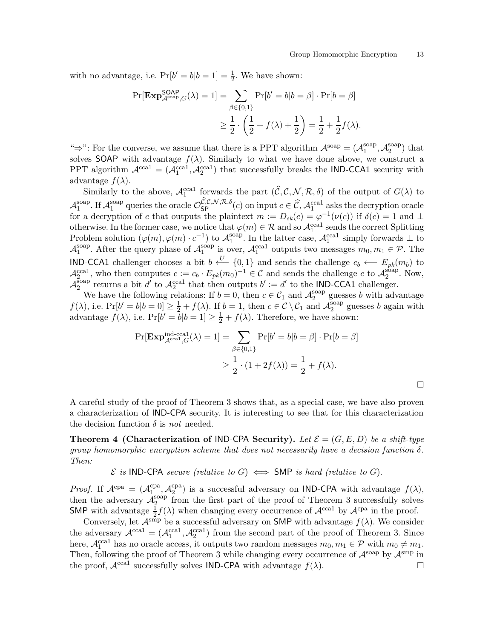$\Box$ 

with no advantage, i.e.  $Pr[b' = b | b = 1] = \frac{1}{2}$ . We have shown:

$$
\Pr[\mathbf{Exp}_{\mathcal{A}^{\text{soap}},G}^{\textsf{OAP}}(\lambda) = 1] = \sum_{\beta \in \{0,1\}} \Pr[b' = b | b = \beta] \cdot \Pr[b = \beta]
$$

$$
\geq \frac{1}{2} \cdot \left(\frac{1}{2} + f(\lambda) + \frac{1}{2}\right) = \frac{1}{2} + \frac{1}{2}f(\lambda).
$$

" $\Rightarrow$ ": For the converse, we assume that there is a PPT algorithm  $\mathcal{A}^{\text{soap}} = (\mathcal{A}_1^{\text{soap}})$  $_1^{\text{soap}}, \mathcal{A}_2^{\text{soap}}$  $_2^{\text{soap}}$ ) that solves SOAP with advantage  $f(\lambda)$ . Similarly to what we have done above, we construct a PPT algorithm  $\mathcal{A}^{\text{ccal}} = (\mathcal{A}^{\text{ccal}}_1, \mathcal{A}^{\text{ccal}}_2)$  that successfully breaks the IND-CCA1 security with advantage  $f(\lambda)$ .

Similarly to the above,  $\mathcal{A}_1^{\text{ccal}}$  forwards the part  $(\widehat{\mathcal{C}}, \mathcal{C}, \mathcal{N}, \mathcal{R}, \delta)$  of the output of  $G(\lambda)$  to  $\mathcal{A}_1^{\text{soap}}$ soap. If  $\mathcal{A}_1^{\text{soup}}$ <sup>soap</sup> queries the oracle  $\mathcal{O}_{SP}^{\mathcal{C},\mathcal{C},\mathcal{N},\mathcal{R},\delta}(c)$  on input  $c \in \widehat{\mathcal{C}}, \mathcal{A}_1^{\text{ccal}}$  asks the decryption oracle for a decryption of c that outputs the plaintext  $m := D_{sk}(c) = \varphi^{-1}(\nu(c))$  if  $\delta(c) = 1$  and  $\perp$ otherwise. In the former case, we notice that  $\varphi(m) \in \mathcal{R}$  and so  $\mathcal{A}_1^{\text{ccal}}$  sends the correct Splitting Problem solution  $(\varphi(m), \varphi(m) \cdot c^{-1})$  to  $\mathcal{A}_1^{\text{soup}}$ <sup>soap</sup>. In the latter case,  $\mathcal{A}_1^{\text{ccal}}$  simply forwards  $\perp$  to  $\mathcal{A}_1^{\rm soap}$ <sup>soap</sup>. After the query phase of  $\mathcal{A}_1^{\text{soup}}$ <sup>soap</sup> is over,  $\mathcal{A}_1^{\text{ccal}}$  outputs two messages  $m_0, m_1 \in \mathcal{P}$ . The **IND-CCA1** challenger chooses a bit  $b \leftarrow U$  {0,1} and sends the challenge  $c_b \leftarrow E_{pk}(m_b)$  to  $\mathcal{A}_{2}^{\text{ccal}}$ , who then computes  $c := c_b \cdot E_{pk}(m_0)^{-1} \in \mathcal{C}$  and sends the challenge c to  $\mathcal{A}_{2}^{\text{soup}}$  $_2^{\text{soup}}$ . Now,  $\mathcal{A}_2^{\rm 5oap}$ <sup>soap</sup> returns a bit d' to  $\mathcal{A}_2^{\text{ccal}}$  that then outputs  $b' := d'$  to the **IND-CCA1** challenger.

We have the following relations: If  $b = 0$ , then  $c \in C_1$  and  $\mathcal{A}_2^{\text{soup}}$  $_2^{\text{soap}}$  guesses b with advantage  $f(\lambda)$ , i.e.  $Pr[b' = b | b = 0] \ge \frac{1}{2} + f(\lambda)$ . If  $b = 1$ , then  $c \in C \setminus C_1$  and  $\mathcal{A}_2^{\text{soup}}$  $_2^{\text{soup}}$  guesses *b* again with advantage  $f(\lambda)$ , i.e.  $Pr[b' = \overline{b}|b = 1] \ge \frac{1}{2} + f(\lambda)$ . Therefore, we have shown:

$$
\Pr[\mathbf{Exp}_{\mathcal{A}^{\text{ccal}},G}^{\text{ind-ccal}}(\lambda) = 1] = \sum_{\beta \in \{0,1\}} \Pr[b' = b | b = \beta] \cdot \Pr[b = \beta]
$$

$$
\geq \frac{1}{2} \cdot (1 + 2f(\lambda)) = \frac{1}{2} + f(\lambda).
$$

A careful study of the proof of Theorem 3 shows that, as a special case, we have also proven a characterization of IND-CPA security. It is interesting to see that for this characterization the decision function  $\delta$  is *not* needed.

**Theorem 4 (Characterization of IND-CPA Security).** Let  $\mathcal{E} = (G, E, D)$  be a shift-type group homomorphic encryption scheme that does not necessarily have a decision function  $\delta$ . Then:

 $\mathcal E$  is IND-CPA secure (relative to G)  $\iff$  SMP is hard (relative to G).

*Proof.* If  $\mathcal{A}^{cpa} = (\mathcal{A}^{cpa}_{1}$  $\mathcal{A}_2^{\text{cpa}}, \mathcal{A}_2^{\text{cpa}}$  $_{2}^{\text{cpa}}$ ) is a successful adversary on IND-CPA with advantage  $f(\lambda)$ , then the adversary  $\mathcal{A}_2^{\text{soup}}$  $\frac{1}{2}$  from the first part of the proof of Theorem 3 successfully solves SMP with advantage  $\frac{1}{2}f(\lambda)$  when changing every occurrence of  $\mathcal{A}^{\text{real}}$  by  $\mathcal{A}^{\text{cpa}}$  in the proof.

Conversely, let  $\mathcal{A}^{\text{smp}}$  be a successful adversary on SMP with advantage  $f(\lambda)$ . We consider the adversary  $\mathcal{A}^{\text{real}} = (\mathcal{A}^{\text{real}}_1, \mathcal{A}^{\text{real}}_2)$  from the second part of the proof of Theorem 3. Since here,  $\mathcal{A}_1^{\text{real}}$  has no oracle access, it outputs two random messages  $m_0, m_1 \in \mathcal{P}$  with  $m_0 \neq m_1$ . Then, following the proof of Theorem 3 while changing every occurrence of  $\mathcal{A}^{\text{soap}}$  by  $\mathcal{A}^{\text{smp}}$  in the proof,  $\mathcal{A}^{\text{ccal}}$  successfully solves IND-CPA with advantage  $f(\lambda)$ .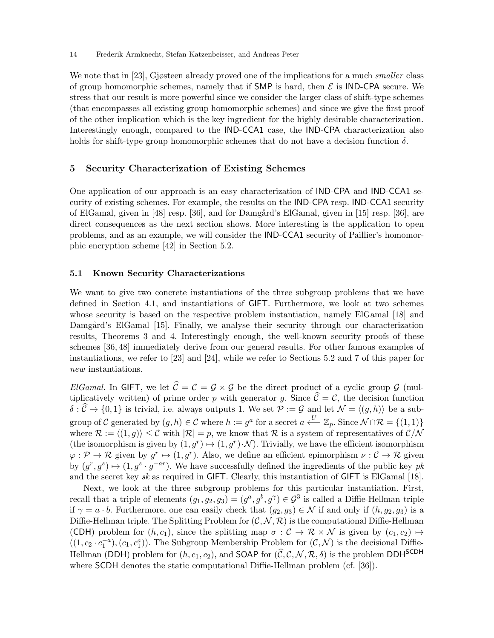We note that in [23], Gjøsteen already proved one of the implications for a much *smaller* class of group homomorphic schemes, namely that if SMP is hard, then  $\mathcal E$  is IND-CPA secure. We stress that our result is more powerful since we consider the larger class of shift-type schemes (that encompasses all existing group homomorphic schemes) and since we give the first proof of the other implication which is the key ingredient for the highly desirable characterization. Interestingly enough, compared to the IND-CCA1 case, the IND-CPA characterization also holds for shift-type group homomorphic schemes that do not have a decision function  $\delta$ .

## 5 Security Characterization of Existing Schemes

One application of our approach is an easy characterization of IND-CPA and IND-CCA1 security of existing schemes. For example, the results on the IND-CPA resp. IND-CCA1 security of ElGamal, given in [48] resp. [36], and for Damgård's ElGamal, given in [15] resp. [36], are direct consequences as the next section shows. More interesting is the application to open problems, and as an example, we will consider the IND-CCA1 security of Paillier's homomorphic encryption scheme [42] in Section 5.2.

#### 5.1 Known Security Characterizations

We want to give two concrete instantiations of the three subgroup problems that we have defined in Section 4.1, and instantiations of GIFT. Furthermore, we look at two schemes whose security is based on the respective problem instantiation, namely ElGamal [18] and Damgård's ElGamal [15]. Finally, we analyse their security through our characterization results, Theorems 3 and 4. Interestingly enough, the well-known security proofs of these schemes [36, 48] immediately derive from our general results. For other famous examples of instantiations, we refer to [23] and [24], while we refer to Sections 5.2 and 7 of this paper for new instantiations.

ElGamal. In GIFT, we let  $\hat{C} = C = \mathcal{G} \times \mathcal{G}$  be the direct product of a cyclic group  $\mathcal{G}$  (multiplicatively written) of prime order p with generator g. Since  $\hat{\mathcal{C}} = \mathcal{C}$ , the decision function  $\delta : \widehat{C} \to \{0, 1\}$  is trivial, i.e. always outputs 1. We set  $\mathcal{P} := \mathcal{G}$  and let  $\mathcal{N} = \langle (g, h) \rangle$  be a subgroup of C generated by  $(g, h) \in C$  where  $h := g^a$  for a secret  $a \stackrel{U}{\longleftarrow} \mathbb{Z}_p$ . Since  $\mathcal{N} \cap \mathcal{R} = \{(1, 1)\}\$ where  $\mathcal{R} := \langle (1, g) \rangle \leq \mathcal{C}$  with  $|\mathcal{R}| = p$ , we know that  $\mathcal{R}$  is a system of representatives of  $\mathcal{C}/\mathcal{N}$ (the isomorphism is given by  $(1, g^r) \mapsto (1, g^r) \cdot \mathcal{N}$ ). Trivially, we have the efficient isomorphism  $\varphi: \mathcal{P} \to \mathcal{R}$  given by  $g^r \mapsto (1, g^r)$ . Also, we define an efficient epimorphism  $\nu: \mathcal{C} \to \mathcal{R}$  given by  $(g^r, g^s) \mapsto (1, g^s \cdot g^{-ar})$ . We have successfully defined the ingredients of the public key pk and the secret key sk as required in GIFT. Clearly, this instantiation of GIFT is ElGamal [18].

Next, we look at the three subgroup problems for this particular instantiation. First, recall that a triple of elements  $(g_1, g_2, g_3) = (g^a, g^b, g^\gamma) \in \mathcal{G}^3$  is called a Diffie-Hellman triple if  $\gamma = a \cdot b$ . Furthermore, one can easily check that  $(g_2, g_3) \in \mathcal{N}$  if and only if  $(h, g_2, g_3)$  is a Diffie-Hellman triple. The Splitting Problem for  $(C, \mathcal{N}, \mathcal{R})$  is the computational Diffie-Hellman (CDH) problem for  $(h, c_1)$ , since the splitting map  $\sigma : C \to \mathcal{R} \times \mathcal{N}$  is given by  $(c_1, c_2) \mapsto$  $((1, c_2 \cdot c_1^{-a}), (c_1, c_1^{a}))$ . The Subgroup Membership Problem for  $(C, \mathcal{N})$  is the decisional Diffie-Hellman (DDH) problem for  $(h, c_1, c_2)$ , and SOAP for  $(\widehat{C}, C, \mathcal{N}, \mathcal{R}, \delta)$  is the problem DDH<sup>SCDH</sup> where SCDH denotes the static computational Diffie-Hellman problem (cf. [36]).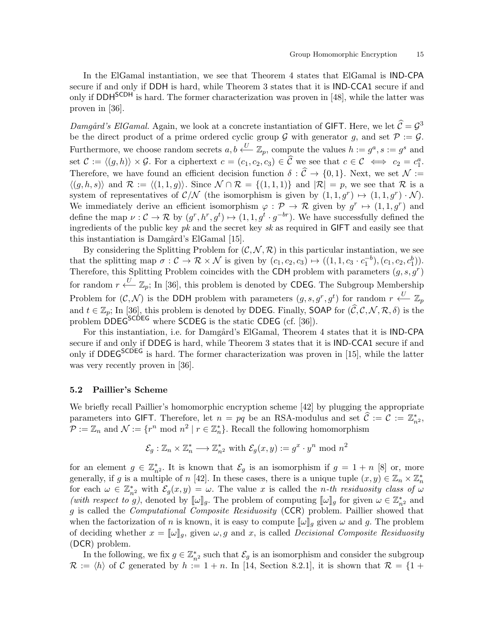In the ElGamal instantiation, we see that Theorem 4 states that ElGamal is IND-CPA secure if and only if DDH is hard, while Theorem 3 states that it is IND-CCA1 secure if and only if DDH<sup>SCDH</sup> is hard. The former characterization was proven in [48], while the latter was proven in [36].

Damgård's ElGamal. Again, we look at a concrete instantiation of GIFT. Here, we let  $\hat{C} = \mathcal{G}^3$ be the direct product of a prime ordered cyclic group  $G$  with generator g, and set  $P := G$ . Furthermore, we choose random secrets  $a, b \stackrel{U}{\longleftarrow} \mathbb{Z}_p$ , compute the values  $h := g^a, s := g^s$  and set  $\mathcal{C} := \langle (g, h) \rangle \times \mathcal{G}$ . For a ciphertext  $c = (c_1, c_2, c_3) \in \widehat{\mathcal{C}}$  we see that  $c \in \mathcal{C} \iff c_2 = c_1^a$ . Therefore, we have found an efficient decision function  $\delta : \widehat{C} \to \{0,1\}$ . Next, we set  $\mathcal{N} :=$  $\langle (g, h, s) \rangle$  and  $\mathcal{R} := \langle (1, 1, g) \rangle$ . Since  $\mathcal{N} \cap \mathcal{R} = \{(1, 1, 1)\}\$ and  $|\mathcal{R}| = p$ , we see that  $\mathcal{R}$  is a system of representatives of  $\mathcal{C}/\mathcal{N}$  (the isomorphism is given by  $(1,1,g^r) \mapsto (1,1,g^r) \cdot \mathcal{N}$ ). We immediately derive an efficient isomorphism  $\varphi : \mathcal{P} \to \mathcal{R}$  given by  $g^r \mapsto (1, 1, g^r)$  and define the map  $\nu: \mathcal{C} \to \mathcal{R}$  by  $(g^r, h^r, g^t) \mapsto (1, 1, g^t \cdot g^{-br})$ . We have successfully defined the ingredients of the public key  $pk$  and the secret key  $sk$  as required in GIFT and easily see that this instantiation is Damgård's ElGamal [15].

By considering the Splitting Problem for  $(C, \mathcal{N}, \mathcal{R})$  in this particular instantiation, we see that the splitting map  $\sigma : \mathcal{C} \to \mathcal{R} \times \mathcal{N}$  is given by  $(c_1, c_2, c_3) \mapsto ((1, 1, c_3 \cdot c_1^{-b}), (c_1, c_2, c_1^{b})).$ Therefore, this Splitting Problem coincides with the CDH problem with parameters  $(g, s, g<sup>r</sup>)$ for random  $r \stackrel{U}{\longleftarrow} \mathbb{Z}_p$ ; In [36], this problem is denoted by CDEG. The Subgroup Membership Problem for  $(C, \mathcal{N})$  is the DDH problem with parameters  $(g, s, g^r, g^t)$  for random  $r \stackrel{U}{\longleftarrow} \mathbb{Z}_p$ and  $t \in \mathbb{Z}_p$ ; In [36], this problem is denoted by DDEG. Finally, SOAP for  $(\widehat{C}, C, N, \mathcal{R}, \delta)$  is the problem DDEG<sup>SCDEG</sup> where SCDEG is the static CDEG (cf. [36]).

For this instantiation, i.e. for Damgård's ElGamal, Theorem 4 states that it is IND-CPA secure if and only if DDEG is hard, while Theorem 3 states that it is IND-CCA1 secure if and only if  $DDEG^{SCDEG}$  is hard. The former characterization was proven in [15], while the latter was very recently proven in [36].

## 5.2 Paillier's Scheme

We briefly recall Paillier's homomorphic encryption scheme [42] by plugging the appropriate parameters into GIFT. Therefore, let  $n = pq$  be an RSA-modulus and set  $\hat{\mathcal{C}} := \mathcal{C} := \mathbb{Z}_{n^2}^*$ ,  $\mathcal{P} := \mathbb{Z}_n$  and  $\mathcal{N} := \{r^n \mod n^2 \mid r \in \mathbb{Z}_n^*\}$ . Recall the following homomorphism

$$
\mathcal{E}_g: \mathbb{Z}_n \times \mathbb{Z}_n^* \longrightarrow \mathbb{Z}_{n^2}^* \text{ with } \mathcal{E}_g(x, y) := g^x \cdot y^n \text{ mod } n^2
$$

for an element  $g \in \mathbb{Z}_{n^2}^*$ . It is known that  $\mathcal{E}_g$  is an isomorphism if  $g = 1 + n$  [8] or, more generally, if g is a multiple of n [42]. In these cases, there is a unique tuple  $(x, y) \in \mathbb{Z}_n \times \mathbb{Z}_n^*$ for each  $\omega \in \mathbb{Z}_{n^2}^*$  with  $\mathcal{E}_g(x, y) = \omega$ . The value x is called the *n-th residuosity class of*  $\omega$ (with respect to g), denoted by  $[\![\omega]\!]_g$ . The problem of computing  $[\![\omega]\!]_g$  for given  $\omega \in \mathbb{Z}_{n^2}^*$  and g is called the Computational Composite Residuosity (CCR) problem. Paillier showed that when the factorization of n is known, it is easy to compute  $[\![\omega]\!]_g$  given  $\omega$  and g. The problem of deciding whether  $x = [\![\omega]\!]_q$ , given  $\omega, g$  and x, is called *Decisional Composite Residuosity* (DCR) problem.

In the following, we fix  $g \in \mathbb{Z}_{n^2}^*$  such that  $\mathcal{E}_g$  is an isomorphism and consider the subgroup  $\mathcal{R} := \langle h \rangle$  of C generated by  $h := 1 + n$ . In [14, Section 8.2.1], it is shown that  $\mathcal{R} = \{1 + \dots\}$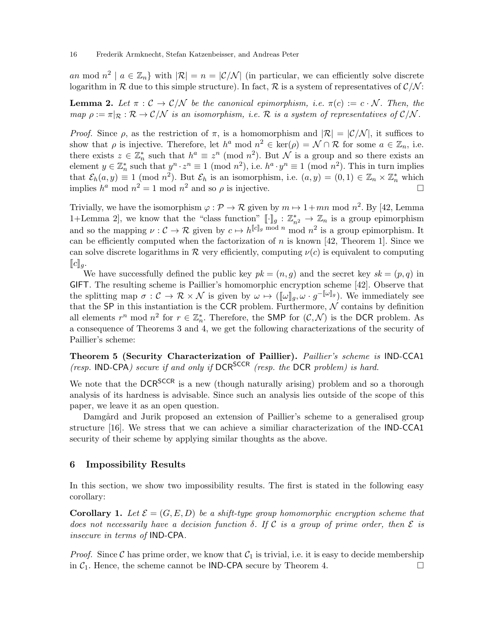an mod  $n^2 \mid a \in \mathbb{Z}_n$  with  $|\mathcal{R}| = n = |\mathcal{C}/\mathcal{N}|$  (in particular, we can efficiently solve discrete logarithm in R due to this simple structure). In fact, R is a system of representatives of  $\mathcal{C}/\mathcal{N}$ :

**Lemma 2.** Let  $\pi : \mathcal{C} \to \mathcal{C}/\mathcal{N}$  be the canonical epimorphism, i.e.  $\pi(c) := c \cdot \mathcal{N}$ . Then, the map  $\rho := \pi|_{\mathcal{R}} : \mathcal{R} \to \mathcal{C}/\mathcal{N}$  is an isomorphism, i.e.  $\mathcal{R}$  is a system of representatives of  $\mathcal{C}/\mathcal{N}$ .

Proof. Since  $\rho$ , as the restriction of  $\pi$ , is a homomorphism and  $|\mathcal{R}| = |\mathcal{C}/\mathcal{N}|$ , it suffices to show that  $\rho$  is injective. Therefore, let  $h^a \mod n^2 \in \text{ker}(\rho) = \mathcal{N} \cap \mathcal{R}$  for some  $a \in \mathbb{Z}_n$ , i.e. there exists  $z \in \mathbb{Z}_n^*$  such that  $h^a \equiv z^n \pmod{n^2}$ . But N is a group and so there exists an element  $y \in \mathbb{Z}_n^*$  such that  $y^n \cdot z^n \equiv 1 \pmod{n^2}$ , i.e.  $h^a \cdot y^n \equiv 1 \pmod{n^2}$ . This in turn implies that  $\mathcal{E}_h(a, y) \equiv 1 \pmod{n^2}$ . But  $\mathcal{E}_h$  is an isomorphism, i.e.  $(a, y) = (0, 1) \in \mathbb{Z}_n \times \mathbb{Z}_n^*$  which implies  $h^a$  mod  $n^2 = 1$  mod  $n^2$  and so  $\rho$  is injective.

Trivially, we have the isomorphism  $\varphi : \mathcal{P} \to \mathcal{R}$  given by  $m \mapsto 1 + mn \mod n^2$ . By [42, Lemma 1+Lemma 2, we know that the "class function"  $[\![\cdot]\!]_g : \mathbb{Z}_{n^2}^* \to \mathbb{Z}_n$  is a group epimorphism and so the mapping  $\nu: \mathcal{C} \to \mathcal{R}$  given by  $c \mapsto h^{[\![c]\!]_g \mod n}$  mod  $n^2$  is a group epimorphism. It can be efficiently computed when the factorization of n is known [42, Theorem 1]. Since we can solve discrete logarithms in R very efficiently, computing  $\nu(c)$  is equivalent to computing  $\llbracket c \rrbracket_q$ .

We have successfully defined the public key  $pk = (n, g)$  and the secret key  $sk = (p, q)$  in GIFT. The resulting scheme is Paillier's homomorphic encryption scheme [42]. Observe that the splitting map  $\sigma : \mathcal{C} \to \mathcal{R} \times \mathcal{N}$  is given by  $\omega \mapsto (\llbracket \omega \rrbracket_g, \omega \cdot g^{-\llbracket \omega \rrbracket_g})$ . We immediately see that the SP in this instantiation is the CCR problem. Furthermore,  $N$  contains by definition all elements  $r^n$  mod  $n^2$  for  $r \in \mathbb{Z}_n^*$ . Therefore, the SMP for  $(\mathcal{C}, \mathcal{N})$  is the DCR problem. As a consequence of Theorems 3 and 4, we get the following characterizations of the security of Paillier's scheme:

Theorem 5 (Security Characterization of Paillier). Paillier's scheme is IND-CCA1 (resp. IND-CPA) secure if and only if  $DCR^{SCCR}$  (resp. the DCR problem) is hard.

We note that the DCR<sup>SCCR</sup> is a new (though naturally arising) problem and so a thorough analysis of its hardness is advisable. Since such an analysis lies outside of the scope of this paper, we leave it as an open question.

Damgård and Jurik proposed an extension of Paillier's scheme to a generalised group structure [16]. We stress that we can achieve a similiar characterization of the IND-CCA1 security of their scheme by applying similar thoughts as the above.

## 6 Impossibility Results

In this section, we show two impossibility results. The first is stated in the following easy corollary:

**Corollary 1.** Let  $\mathcal{E} = (G, E, D)$  be a shift-type group homomorphic encryption scheme that does not necessarily have a decision function  $\delta$ . If C is a group of prime order, then E is insecure in terms of IND-CPA.

*Proof.* Since C has prime order, we know that  $C_1$  is trivial, i.e. it is easy to decide membership in  $C_1$ . Hence, the scheme cannot be **IND-CPA** secure by Theorem 4. in  $C_1$ . Hence, the scheme cannot be IND-CPA secure by Theorem 4.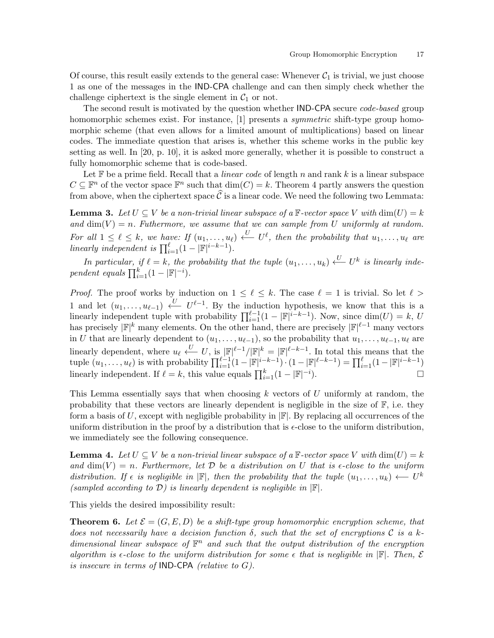Of course, this result easily extends to the general case: Whenever  $C_1$  is trivial, we just choose 1 as one of the messages in the IND-CPA challenge and can then simply check whether the challenge ciphertext is the single element in  $C_1$  or not.

The second result is motivated by the question whether **IND-CPA** secure *code-based* group homomorphic schemes exist. For instance, [1] presents a *symmetric* shift-type group homomorphic scheme (that even allows for a limited amount of multiplications) based on linear codes. The immediate question that arises is, whether this scheme works in the public key setting as well. In [20, p. 10], it is asked more generally, whether it is possible to construct a fully homomorphic scheme that is code-based.

Let  $\mathbb F$  be a prime field. Recall that a *linear code* of length n and rank k is a linear subspace  $C \subseteq \mathbb{F}^n$  of the vector space  $\mathbb{F}^n$  such that  $\dim(C) = k$ . Theorem 4 partly answers the question from above, when the ciphertext space  $\hat{\mathcal{C}}$  is a linear code. We need the following two Lemmata:

**Lemma 3.** Let  $U \subseteq V$  be a non-trivial linear subspace of a F-vector space V with  $\dim(U) = k$ and  $\dim(V) = n$ . Futhermore, we assume that we can sample from U uniformly at random. For all  $1 \leq \ell \leq k$ , we have: If  $(u_1, \ldots, u_{\ell}) \stackrel{U}{\longleftarrow} U^{\ell}$ , then the probability that  $u_1, \ldots, u_{\ell}$  are linearly independent is  $\prod_{i=1}^{\ell} (1 - |\mathbb{F}|^{i-k-1}).$ 

In particular, if  $\ell = k$ , the probability that the tuple  $(u_1, \ldots, u_k) \stackrel{U}{\longleftarrow} U^k$  is linearly independent equals  $\prod_{i=1}^{k} (1 - |\mathbb{F}|^{-i}).$ 

*Proof.* The proof works by induction on  $1 \leq \ell \leq k$ . The case  $\ell = 1$  is trivial. So let  $\ell >$ 1 and let  $(u_1, \ldots, u_{\ell-1}) \stackrel{U}{\longleftarrow} U^{\ell-1}$ . By the induction hypothesis, we know that this is a linearly independent tuple with probability  $\prod_{i=1}^{\ell-1}(1-|\mathbb{F}|^{i-k-1})$ . Now, since  $\dim(U) = k$ , U has precisely  $|\mathbb{F}|^k$  many elements. On the other hand, there are precisely  $|\mathbb{F}|^{\ell-1}$  many vectors in U that are linearly dependent to  $(u_1, \ldots, u_{\ell-1})$ , so the probability that  $u_1, \ldots, u_{\ell-1}, u_{\ell}$  are linearly dependent, where  $u_{\ell} \leftarrow U$ , is  $|\mathbb{F}|^{\ell-1}/|\mathbb{F}|^k = |\mathbb{F}|^{\ell-k-1}$ . In total this means that the tuple  $(u_1, \ldots, u_\ell)$  is with probability  $\prod_{i=1}^{\ell-1} (1 - |\mathbb{F}|^{i-k-1}) \cdot (1 - |\mathbb{F}|^{\ell-k-1}) = \prod_{i=1}^{\ell} (1 - |\mathbb{F}|^{i-k-1})$ linearly independent. If  $\ell = k$ , this value equals  $\prod_{i=1}^{k} (1 - |\mathbb{F}|^{-i})$ ).  $\qquad \qquad \Box$ 

This Lemma essentially says that when choosing  $k$  vectors of  $U$  uniformly at random, the probability that these vectors are linearly dependent is negligible in the size of  $\mathbb{F}$ , i.e. they form a basis of U, except with negligible probability in  $\mathbb{F}$ . By replacing all occurrences of the uniform distribution in the proof by a distribution that is  $\epsilon$ -close to the uniform distribution, we immediately see the following consequence.

**Lemma 4.** Let  $U \subseteq V$  be a non-trivial linear subspace of a  $\mathbb{F}\text{-vector space } V$  with  $\dim(U) = k$ and  $\dim(V) = n$ . Furthermore, let D be a distribution on U that is  $\epsilon$ -close to the uniform distribution. If  $\epsilon$  is negligible in  $|\mathbb{F}|$ , then the probability that the tuple  $(u_1, \ldots, u_k) \leftarrow U^k$ (sampled according to  $\mathcal{D}$ ) is linearly dependent is negligible in  $\mathbb{F}$ .

This yields the desired impossibility result:

**Theorem 6.** Let  $\mathcal{E} = (G, E, D)$  be a shift-type group homomorphic encryption scheme, that does not necessarily have a decision function  $\delta$ , such that the set of encryptions C is a kdimensional linear subspace of  $\mathbb{F}^n$  and such that the output distribution of the encryption algorithm is  $\epsilon$ -close to the uniform distribution for some  $\epsilon$  that is negligible in  $\mathbb{F}$ . Then,  $\mathcal E$ is insecure in terms of  $IND-CPA$  (relative to G).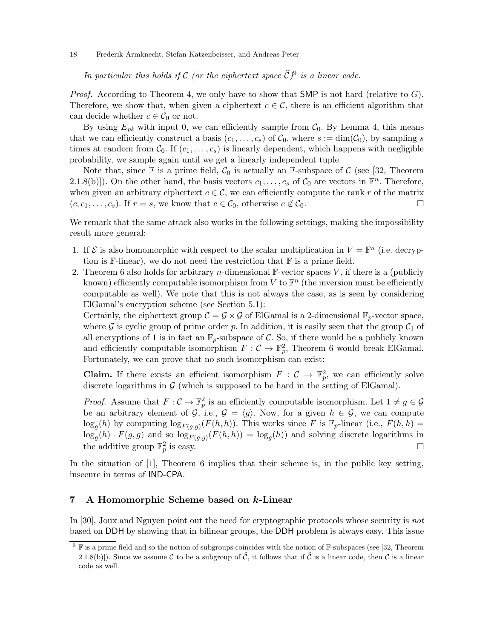In particular this holds if C (or the ciphertext space  $\widehat{\mathcal{C}}$ )<sup>9</sup> is a linear code.

*Proof.* According to Theorem 4, we only have to show that SMP is not hard (relative to  $G$ ). Therefore, we show that, when given a ciphertext  $c \in \mathcal{C}$ , there is an efficient algorithm that can decide whether  $c \in \mathcal{C}_0$  or not.

By using  $E_{pk}$  with input 0, we can efficiently sample from  $C_0$ . By Lemma 4, this means that we can efficiently construct a basis  $(c_1, \ldots, c_s)$  of  $\mathcal{C}_0$ , where  $s := \dim(\mathcal{C}_0)$ , by sampling s times at random from  $\mathcal{C}_0$ . If  $(c_1, \ldots, c_s)$  is linearly dependent, which happens with negligible probability, we sample again until we get a linearly independent tuple.

Note that, since  $\mathbb F$  is a prime field,  $\mathcal C_0$  is actually an  $\mathbb F$ -subspace of C (see [32, Theorem 2.1.8(b)]). On the other hand, the basis vectors  $c_1, \ldots, c_s$  of  $C_0$  are vectors in  $\mathbb{F}^n$ . Therefore, when given an arbitrary ciphertext  $c \in \mathcal{C}$ , we can efficiently compute the rank r of the matrix  $(c, c_1, \ldots, c_s)$ . If  $r = s$ , we know that  $c \in \mathcal{C}_0$ , otherwise  $c \notin \mathcal{C}_0$ .  $(c, c_1, \ldots, c_s)$ . If  $r = s$ , we know that  $c \in C_0$ , otherwise  $c \notin C_0$ .

We remark that the same attack also works in the following settings, making the impossibility result more general:

- 1. If  $\mathcal E$  is also homomorphic with respect to the scalar multiplication in  $V = \mathbb F^n$  (i.e. decryption is  $\mathbb{F}\text{-linear}$ , we do not need the restriction that  $\mathbb{F}$  is a prime field.
- 2. Theorem 6 also holds for arbitrary *n*-dimensional  $\mathbb{F}\text{-vector spaces } V$ , if there is a (publicly known) efficiently computable isomorphism from V to  $\mathbb{F}^n$  (the inversion must be efficiently computable as well). We note that this is not always the case, as is seen by considering ElGamal's encryption scheme (see Section 5.1):

Certainly, the ciphertext group  $C = G \times G$  of ElGamal is a 2-dimensional  $\mathbb{F}_p$ -vector space, where G is cyclic group of prime order p. In addition, it is easily seen that the group  $C_1$  of all encryptions of 1 is in fact an  $\mathbb{F}_p$ -subspace of C. So, if there would be a publicly known and efficiently computable isomorphism  $F: \mathcal{C} \to \mathbb{F}_p^2$ , Theorem 6 would break ElGamal. Fortunately, we can prove that no such isomorphism can exist:

**Claim.** If there exists an efficient isomorphism  $F : C \to \mathbb{F}_p^2$ , we can efficiently solve discrete logarithms in  $G$  (which is supposed to be hard in the setting of ElGamal).

*Proof.* Assume that  $F: \mathcal{C} \to \mathbb{F}_p^2$  is an efficiently computable isomorphism. Let  $1 \neq g \in \mathcal{G}$ be an arbitrary element of  $\mathcal{G}$ , i.e.,  $\mathcal{G} = \langle g \rangle$ . Now, for a given  $h \in \mathcal{G}$ , we can compute  $\log_g(h)$  by computing  $\log_{F(g,g)}(F(h,h))$ . This works since F is  $\mathbb{F}_p$ -linear (i.e.,  $F(h,h)$ )  $\log_g(h) \cdot F(g, g)$  and so  $\log_{F(g,g)}(F(h, h)) = \log_g(h)$  and solving discrete logarithms in the additive group  $\mathbb{F}_p^2$  is easy.

In the situation of [1], Theorem 6 implies that their scheme is, in the public key setting, insecure in terms of IND-CPA.

## 7 A Homomorphic Scheme based on k-Linear

In [30], Joux and Nguyen point out the need for cryptographic protocols whose security is not based on DDH by showing that in bilinear groups, the DDH problem is always easy. This issue

 $9 \nF$  is a prime field and so the notion of subgroups coincides with the notion of F-subspaces (see [32, Theorem 2.1.8(b)). Since we assume C to be a subgroup of  $\hat{C}$ , it follows that if  $\hat{C}$  is a linear code, then C is a linear code as well.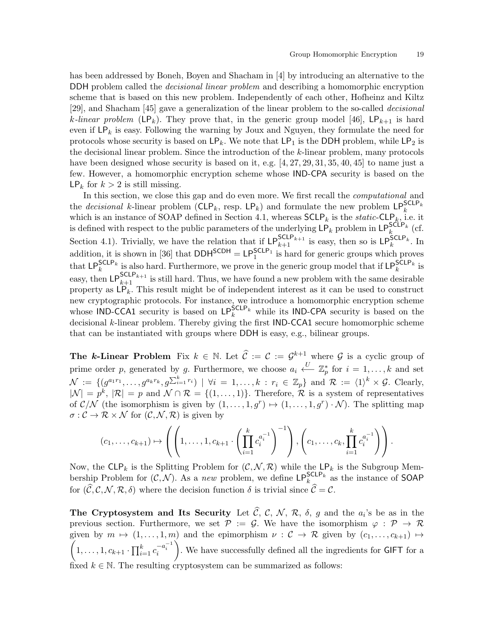has been addressed by Boneh, Boyen and Shacham in [4] by introducing an alternative to the DDH problem called the *decisional linear problem* and describing a homomorphic encryption scheme that is based on this new problem. Independently of each other, Hofheinz and Kiltz [29], and Shacham [45] gave a generalization of the linear problem to the so-called decisional k-linear problem (LP<sub>k</sub>). They prove that, in the generic group model [46], LP<sub>k+1</sub> is hard even if  $\mathsf{LP}_k$  is easy. Following the warning by Joux and Nguyen, they formulate the need for protocols whose security is based on  $\mathsf{LP}_k$ . We note that  $\mathsf{LP}_1$  is the DDH problem, while  $\mathsf{LP}_2$  is the decisional linear problem. Since the introduction of the k-linear problem, many protocols have been designed whose security is based on it, e.g.  $[4, 27, 29, 31, 35, 40, 45]$  to name just a few. However, a homomorphic encryption scheme whose IND-CPA security is based on the  $\mathsf{LP}_k$  for  $k > 2$  is still missing.

In this section, we close this gap and do even more. We first recall the computational and the *decisional* k-linear problem  $(CLP_k, \text{ resp. } LP_k)$  and formulate the new problem  $LP_k^{\text{SCLP}_k}$ which is an instance of SOAP defined in Section 4.1, whereas  $\mathsf{SCLP}_k$  is the *static*-CLP<sub>k</sub>, i.e. it is defined with respect to the public parameters of the underlying  $LP_k$  problem in  $LP_k^{\text{SCLP}_k}$  (cf. Section 4.1). Trivially, we have the relation that if  $LP_{k+1}^{SCLP_{k+1}}$  is easy, then so is  $LP_{k}^{SCLP_{k}}$ . In addition, it is shown in [36] that  $DDH^{SCDH} = LP_1^{SCLP_1}$  is hard for generic groups which proves that LP<sup>SCLP<sub>k</sub></sub> is also hard. Furthermore, we prove in the generic group model that if LP<sup>SCLP<sub>k</sub></sub> is</sup></sup> easy, then  $\textsf{LP}_{k+1}^{\textsf{SCLP}_{k+1}}$  is still hard. Thus, we have found a new problem with the same desirable property as  $LP_k$ . This result might be of independent interest as it can be used to construct new cryptographic protocols. For instance, we introduce a homomorphic encryption scheme whose IND-CCA1 security is based on  $\text{LP}_k^{\text{SCLP}_k}$  while its IND-CPA security is based on the decisional k-linear problem. Thereby giving the first IND-CCA1 secure homomorphic scheme that can be instantiated with groups where DDH is easy, e.g., bilinear groups.

**The k-Linear Problem** Fix  $k \in \mathbb{N}$ . Let  $\widehat{C} := C := \mathcal{G}^{k+1}$  where  $\mathcal{G}$  is a cyclic group of prime order p, generated by g. Furthermore, we choose  $a_i \stackrel{U}{\longleftarrow} \mathbb{Z}_p^*$  for  $i = 1, \ldots, k$  and set  $\mathcal{N} := \{ (g^{a_1r_1}, \ldots, g^{a_kr_k}, g^{\sum_{i=1}^k r_i}) \mid \forall i = 1, \ldots, k : r_i \in \mathbb{Z}_p \}$  and  $\mathcal{R} := \langle 1 \rangle^k \times \mathcal{G}$ . Clearly,  $|\mathcal{N}| = p^k$ ,  $|\mathcal{R}| = p$  and  $\mathcal{N} \cap \mathcal{R} = \{(1, \ldots, 1)\}\.$  Therefore,  $\mathcal{R}$  is a system of representatives of  $\mathcal{C}/\mathcal{N}$  (the isomorphism is given by  $(1,\ldots,1,g^r) \mapsto (1,\ldots,1,g^r) \cdot \mathcal{N}$ ). The splitting map  $\sigma : \mathcal{C} \to \mathcal{R} \times \mathcal{N}$  for  $(\mathcal{C}, \mathcal{N}, \mathcal{R})$  is given by

$$
(c_1,\ldots,c_{k+1}) \mapsto \left( \left( 1,\ldots,1,c_{k+1} \cdot \left( \prod_{i=1}^k c_i^{a_i^{-1}} \right)^{-1} \right), \left( c_1,\ldots,c_k, \prod_{i=1}^k c_i^{a_i^{-1}} \right) \right).
$$

Now, the  $CLP_k$  is the Splitting Problem for  $(C, \mathcal{N}, \mathcal{R})$  while the  $LP_k$  is the Subgroup Membership Problem for  $(C, \mathcal{N})$ . As a new problem, we define  $\mathsf{LP}_k^{\mathsf{SCLP}_k}$  as the instance of SOAP for  $(\widehat{C}, C, \mathcal{N}, \mathcal{R}, \delta)$  where the decision function  $\delta$  is trivial since  $\widehat{C} = C$ .

The Cryptosystem and Its Security Let C, C, N, R,  $\delta$ , g and the  $a_i$ 's be as in the previous section. Furthermore, we set  $\mathcal{P} := \mathcal{G}$ . We have the isomorphism  $\varphi : \mathcal{P} \to \mathcal{R}$  $\overline{\prime}$ given by  $m \mapsto (1, \ldots, 1, m)$  and the epimorphism  $\nu : C \to \mathcal{R}$  given by  $(c_1, \ldots, c_{k+1}) \mapsto$  $1, \ldots, 1, c_{k+1} \cdot \prod_{i=1}^{k} c_i^{-a_i^{-1}}$ ). We have successfully defined all the ingredients for  ${\sf GIFT}$  for a fixed  $k \in \mathbb{N}$ . The resulting cryptosystem can be summarized as follows: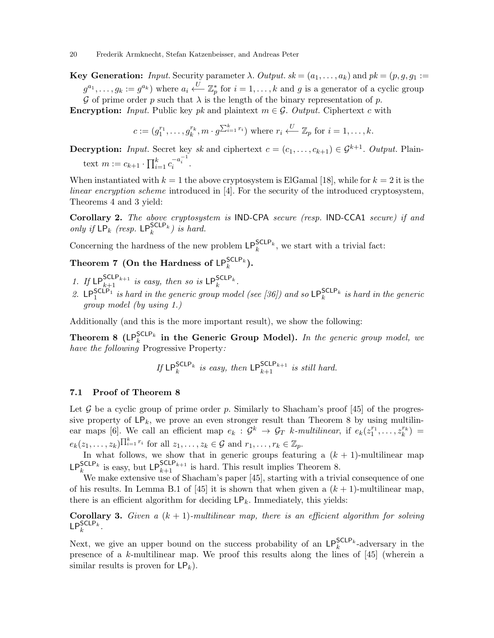**Key Generation:** Input. Security parameter  $\lambda$ . Output.  $sk = (a_1, \ldots, a_k)$  and  $pk = (p, q, q_1)$ :  $g^{a_1}, \ldots, g_k := g^{a_k}$  where  $a_i \stackrel{U}{\longleftarrow} \mathbb{Z}_p^*$  for  $i = 1, \ldots, k$  and g is a generator of a cyclic group G of prime order p such that  $\lambda$  is the length of the binary representation of p.

**Encryption:** Input. Public key pk and plaintext  $m \in \mathcal{G}$ . Output. Ciphertext c with

$$
c := (g_1^{r_1}, \ldots, g_k^{r_k}, m \cdot g^{\sum_{i=1}^k r_i})
$$
 where  $r_i \stackrel{U}{\longleftarrow} \mathbb{Z}_p$  for  $i = 1, \ldots, k$ .

**Decryption:** Input. Secret key sk and ciphertext  $c = (c_1, \ldots, c_{k+1}) \in \mathcal{G}^{k+1}$ . Output. Plaintext  $m := c_{k+1} \cdot \prod_{i=1}^{k} c_i^{-a_i^{-1}}$ .

When instantiated with  $k = 1$  the above cryptosystem is ElGamal [18], while for  $k = 2$  it is the linear encryption scheme introduced in [4]. For the security of the introduced cryptosystem, Theorems 4 and 3 yield:

Corollary 2. The above cryptosystem is IND-CPA secure (resp. IND-CCA1 secure) if and only if  $\mathsf{LP}_k^{\mathsf{CCLP}_k}$  (resp.  $\mathsf{LP}_k^{\mathsf{SCLP}_k}$ ) is hard.

Concerning the hardness of the new problem  $\mathsf{LP}_k^{\mathsf{SCLP}_k}$ , we start with a trivial fact:

# Theorem 7 (On the Hardness of  $\mathsf{LP}_k^{\mathsf{SCLP}_k}$ ).

- 1. If  $\mathsf{LP}_{k+1}^{\mathsf{SCLP}_{k+1}}$  is easy, then so is  $\mathsf{LP}_{k}^{\mathsf{SCLP}_{k}}$ .
- 2. LP<sup>SCLP</sup>1</sub> is hard in the generic group model (see [36]) and so LP<sup>SCLP<sub>k</sub> is hard in the generic</sup> group model (by using 1.)

Additionally (and this is the more important result), we show the following:

**Theorem 8** ( $LP_k^{\text{SCLP}_k}$  in the Generic Group Model). In the generic group model, we have the following Progressive Property:

If 
$$
\text{LP}_k^{\text{SCLP}_k}
$$
 is easy, then  $\text{LP}_{k+1}^{\text{SCLP}_{k+1}}$  is still hard.

## 7.1 Proof of Theorem 8

Let  $G$  be a cyclic group of prime order  $p$ . Similarly to Shacham's proof [45] of the progressive property of  $\mathsf{LP}_k$ , we prove an even stronger result than Theorem 8 by using multilinear maps [6]. We call an efficient map  $e_k$ :  $\mathcal{G}^k \to \mathcal{G}_T$  k-multilinear, if  $e_k(z_1^{r_1}, \ldots, z_k^{r_k}) =$  $e_k(z_1,\ldots,z_k)^{\prod_{i=1}^k r_i}$  for all  $z_1,\ldots,z_k\in\mathcal{G}$  and  $r_1,\ldots,r_k\in\mathbb{Z}_p$ .

In what follows, we show that in generic groups featuring a  $(k + 1)$ -multilinear map  $\mathsf{LP}_k^{\mathsf{SCLP}_k}$  is easy, but  $\mathsf{LP}_{k+1}^{\mathsf{SCLP}_{k+1}}$  is hard. This result implies Theorem 8.

We make extensive use of Shacham's paper [45], starting with a trivial consequence of one of his results. In Lemma B.1 of [45] it is shown that when given a  $(k + 1)$ -multilinear map, there is an efficient algorithm for deciding  $\mathsf{LP}_k$ . Immediately, this yields:

**Corollary 3.** Given a  $(k + 1)$ -multilinear map, there is an efficient algorithm for solving  $\mathsf{LP}_k^{\mathsf{SCLP}_k}$ .

Next, we give an upper bound on the success probability of an  $\mathsf{LP}_k^{\mathsf{SCLP}_k}$ -adversary in the presence of a k-multilinear map. We proof this results along the lines of [45] (wherein a similar results is proven for  $\mathsf{LP}_k$ ).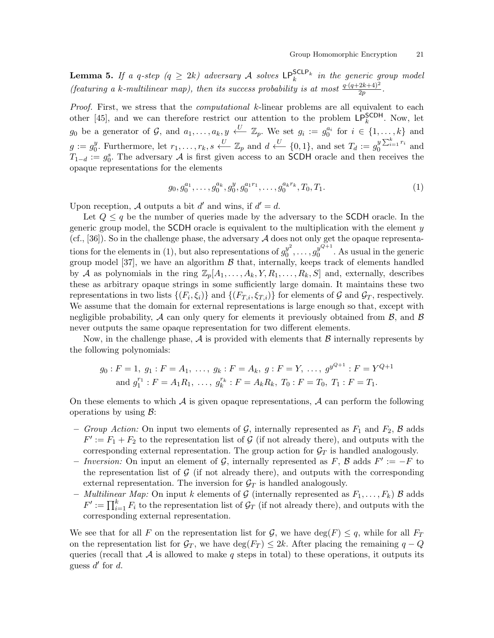**Lemma 5.** If a q-step  $(q \geq 2k)$  adversary A solves  $\text{LP}_k^{\text{SCLP}_k}$  in the generic group model (featuring a k-multilinear map), then its success probability is at most  $\frac{q \cdot (q+2k+4)^2}{2p}$ .

Proof. First, we stress that the *computational* k-linear problems are all equivalent to each other [45], and we can therefore restrict our attention to the problem  $LP_k^{\sf SCDH}$ . Now, let  $g_0$  be a generator of  $\mathcal{G}$ , and  $a_1, \ldots, a_k, y \stackrel{U}{\longleftarrow} \mathbb{Z}_p$ . We set  $g_i := g_0^{a_i}$  for  $i \in \{1, \ldots, k\}$  and  $g := g_0^y$ <sup>y</sup>. Furthermore, let  $r_1, \ldots, r_k, s \stackrel{U}{\longleftarrow} \mathbb{Z}_p$  and  $d \stackrel{U}{\longleftarrow} \{0,1\}$ , and set  $T_d := g_0^{y \sum_{i=1}^k r_i}$  and  $T_{1-d} := g_0^s$ . The adversary A is first given access to an SCDH oracle and then receives the opaque representations for the elements

$$
g_0, g_0^{a_1}, \dots, g_0^{a_k}, g_0^y, g_0^{a_1 r_1}, \dots, g_0^{a_k r_k}, T_0, T_1.
$$
 (1)

Upon reception, A outputs a bit  $d'$  and wins, if  $d' = d$ .

Let  $Q \leq q$  be the number of queries made by the adversary to the SCDH oracle. In the generic group model, the **SCDH** oracle is equivalent to the multiplication with the element  $y$ (cf., [36]). So in the challenge phase, the adversary  $A$  does not only get the opaque representations for the elements in (1), but also representations of  $g_0^{y^2}$  $g_0^{y^2}, \ldots, g_0^{y^{Q+1}}$  $\int_{0}^{y^{\infty}}$ . As usual in the generic group model [37], we have an algorithm  $\beta$  that, internally, keeps track of elements handled by A as polynomials in the ring  $\mathbb{Z}_p[A_1, \ldots, A_k, Y, R_1, \ldots, R_k, S]$  and, externally, describes these as arbitrary opaque strings in some sufficiently large domain. It maintains these two representations in two lists  $\{(F_i, \xi_i)\}\$ and  $\{(F_{T,i}, \xi_{T,i})\}\$ for elements of  $\mathcal G$  and  $\mathcal G_T$ , respectively. We assume that the domain for external representations is large enough so that, except with negligible probability, A can only query for elements it previously obtained from  $\beta$ , and  $\beta$ never outputs the same opaque representation for two different elements.

Now, in the challenge phase,  $\mathcal A$  is provided with elements that  $\mathcal B$  internally represents by the following polynomials:

$$
g_0: F = 1, g_1: F = A_1, \ldots, g_k: F = A_k, g: F = Y, \ldots, g^{y^{Q+1}}: F = Y^{Q+1}
$$
  
and  $g_1^{r_1}: F = A_1 R_1, \ldots, g_k^{r_k}: F = A_k R_k, T_0: F = T_0, T_1: F = T_1.$ 

On these elements to which  $\mathcal A$  is given opaque representations,  $\mathcal A$  can perform the following operations by using  $\mathcal{B}$ :

- Group Action: On input two elements of  $G$ , internally represented as  $F_1$  and  $F_2$ ,  $\beta$  adds  $F' := F_1 + F_2$  to the representation list of G (if not already there), and outputs with the corresponding external representation. The group action for  $\mathcal{G}_T$  is handled analogously.
- − Inversion: On input an element of  $\mathcal{G}$ , internally represented as  $F$ ,  $\mathcal{B}$  adds  $F' := -F$  to the representation list of  $\mathcal G$  (if not already there), and outputs with the corresponding external representation. The inversion for  $\mathcal{G}_T$  is handled analogously.
- *Multilinear Map:* On input k elements of G (internally represented as  $F_1, \ldots, F_k$ ) B adds  $F' := \prod_{i=1}^k F_i$  to the representation list of  $\mathcal{G}_T$  (if not already there), and outputs with the corresponding external representation.

We see that for all F on the representation list for  $\mathcal{G}$ , we have  $\deg(F) \leq q$ , while for all  $F_T$ on the representation list for  $\mathcal{G}_T$ , we have  $\deg(F_T) \leq 2k$ . After placing the remaining  $q - Q$ queries (recall that  $A$  is allowed to make q steps in total) to these operations, it outputs its guess  $d'$  for  $d$ .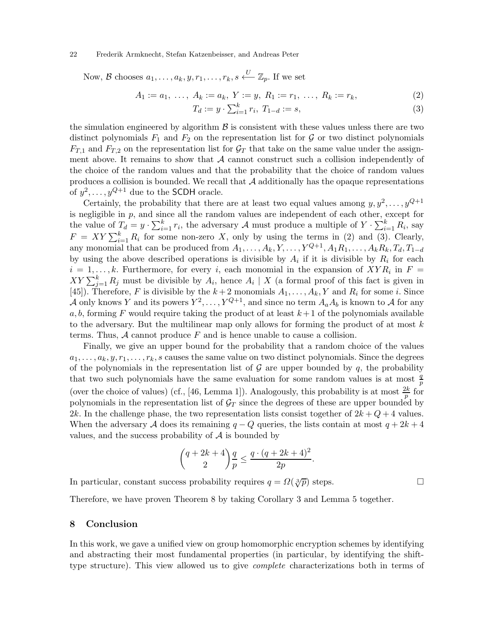Now, B chooses  $a_1, \ldots, a_k, y, r_1, \ldots, r_k, s \stackrel{U}{\longleftarrow} \mathbb{Z}_p$ . If we set

$$
A_1 := a_1, \ldots, A_k := a_k, Y := y, R_1 := r_1, \ldots, R_k := r_k,
$$
\n<sup>(2)</sup>

$$
T_d := y \cdot \sum_{i=1}^k r_i, \ T_{1-d} := s,\tag{3}
$$

the simulation engineered by algorithm  $\beta$  is consistent with these values unless there are two distinct polynomials  $F_1$  and  $F_2$  on the representation list for  $G$  or two distinct polynomials  $F_{T,1}$  and  $F_{T,2}$  on the representation list for  $\mathcal{G}_T$  that take on the same value under the assignment above. It remains to show that  $A$  cannot construct such a collision independently of the choice of the random values and that the probability that the choice of random values produces a collision is bounded. We recall that  $A$  additionally has the opaque representations of  $y^2, \ldots, y^{Q+1}$  due to the SCDH oracle.

Certainly, the probability that there are at least two equal values among  $y, y^2, \ldots, y^{Q+1}$ is negligible in  $p$ , and since all the random values are independent of each other, except for the value of  $T_d = y \cdot \sum_{i=1}^k r_i$ , the adversary A must produce a multiple of  $Y \cdot \sum_{i=1}^k R_i$ , say  $F = XY \sum_{i=1}^{k} R_i$  for some non-zero X, only by using the terms in (2) and (3). Clearly, any monomial that can be produced from  $A_1, \ldots, A_k, Y, \ldots, Y^{Q+1}, A_1R_1, \ldots, A_kR_k, T_d, T_{1-d}$ by using the above described operations is divisible by  $A_i$  if it is divisible by  $R_i$  for each  $i = 1, \ldots, k$ . Furthermore, for every i, each monomial in the expansion of  $XYR_i$  in  $F =$  $XY \sum_{j=1}^{k} R_j$  must be divisible by  $A_i$ , hence  $A_i \mid X$  (a formal proof of this fact is given in [45]). Therefore, F is divisible by the  $k+2$  monomials  $A_1, \ldots, A_k, Y$  and  $R_i$  for some i. Since A only knows Y and its powers  $Y^2, \ldots, Y^{Q+1}$ , and since no term  $A_a A_b$  is known to A for any a, b, forming F would require taking the product of at least  $k+1$  of the polynomials available to the adversary. But the multilinear map only allows for forming the product of at most  $k$ terms. Thus,  $A$  cannot produce  $F$  and is hence unable to cause a collision.

Finally, we give an upper bound for the probability that a random choice of the values  $a_1, \ldots, a_k, y, r_1, \ldots, r_k$ , s causes the same value on two distinct polynomials. Since the degrees of the polynomials in the representation list of  $\mathcal G$  are upper bounded by  $q$ , the probability that two such polynomials have the same evaluation for some random values is at most  $\frac{q}{p}$ (over the choice of values) (cf., [46, Lemma 1]). Analogously, this probability is at most  $\frac{2k}{p}$  for polynomials in the representation list of  $\mathcal{G}_T$  since the degrees of these are upper bounded by 2k. In the challenge phase, the two representation lists consist together of  $2k + Q + 4$  values. When the adversary A does its remaining  $q - Q$  queries, the lists contain at most  $q + 2k + 4$ values, and the success probability of  $A$  is bounded by

$$
\binom{q+2k+4}{2}\frac{q}{p} \le \frac{q\cdot (q+2k+4)^2}{2p}.
$$

In particular, constant success probability requires  $q = \Omega(\sqrt[3]{p})$  steps.

Therefore, we have proven Theorem 8 by taking Corollary 3 and Lemma 5 together.

## 8 Conclusion

In this work, we gave a unified view on group homomorphic encryption schemes by identifying and abstracting their most fundamental properties (in particular, by identifying the shifttype structure). This view allowed us to give complete characterizations both in terms of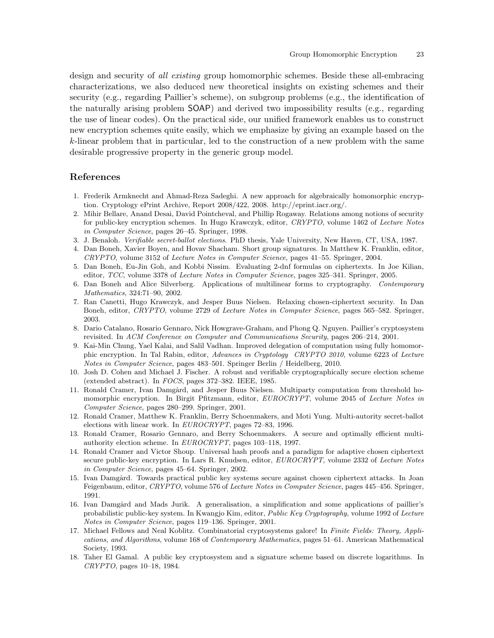design and security of *all existing* group homomorphic schemes. Beside these all-embracing characterizations, we also deduced new theoretical insights on existing schemes and their security (e.g., regarding Paillier's scheme), on subgroup problems (e.g., the identification of the naturally arising problem SOAP) and derived two impossibility results (e.g., regarding the use of linear codes). On the practical side, our unified framework enables us to construct new encryption schemes quite easily, which we emphasize by giving an example based on the k-linear problem that in particular, led to the construction of a new problem with the same desirable progressive property in the generic group model.

## References

- 1. Frederik Armknecht and Ahmad-Reza Sadeghi. A new approach for algebraically homomorphic encryption. Cryptology ePrint Archive, Report 2008/422, 2008. http://eprint.iacr.org/.
- 2. Mihir Bellare, Anand Desai, David Pointcheval, and Phillip Rogaway. Relations among notions of security for public-key encryption schemes. In Hugo Krawczyk, editor, *CRYPTO*, volume 1462 of *Lecture Notes in Computer Science*, pages 26–45. Springer, 1998.
- 3. J. Benaloh. *Verifiable secret-ballot elections*. PhD thesis, Yale University, New Haven, CT, USA, 1987.
- 4. Dan Boneh, Xavier Boyen, and Hovav Shacham. Short group signatures. In Matthew K. Franklin, editor, *CRYPTO*, volume 3152 of *Lecture Notes in Computer Science*, pages 41–55. Springer, 2004.
- 5. Dan Boneh, Eu-Jin Goh, and Kobbi Nissim. Evaluating 2-dnf formulas on ciphertexts. In Joe Kilian, editor, *TCC*, volume 3378 of *Lecture Notes in Computer Science*, pages 325–341. Springer, 2005.
- 6. Dan Boneh and Alice Silverberg. Applications of multilinear forms to cryptography. *Contemporary Mathematics*, 324:71–90, 2002.
- 7. Ran Canetti, Hugo Krawczyk, and Jesper Buus Nielsen. Relaxing chosen-ciphertext security. In Dan Boneh, editor, *CRYPTO*, volume 2729 of *Lecture Notes in Computer Science*, pages 565–582. Springer, 2003.
- 8. Dario Catalano, Rosario Gennaro, Nick Howgrave-Graham, and Phong Q. Nguyen. Paillier's cryptosystem revisited. In *ACM Conference on Computer and Communications Security*, pages 206–214, 2001.
- 9. Kai-Min Chung, Yael Kalai, and Salil Vadhan. Improved delegation of computation using fully homomorphic encryption. In Tal Rabin, editor, *Advances in Cryptology CRYPTO 2010*, volume 6223 of *Lecture Notes in Computer Science*, pages 483–501. Springer Berlin / Heidelberg, 2010.
- 10. Josh D. Cohen and Michael J. Fischer. A robust and verifiable cryptographically secure election scheme (extended abstract). In *FOCS*, pages 372–382. IEEE, 1985.
- 11. Ronald Cramer, Ivan Damgård, and Jesper Buus Nielsen. Multiparty computation from threshold homomorphic encryption. In Birgit Pfitzmann, editor, *EUROCRYPT*, volume 2045 of *Lecture Notes in Computer Science*, pages 280–299. Springer, 2001.
- 12. Ronald Cramer, Matthew K. Franklin, Berry Schoenmakers, and Moti Yung. Multi-autority secret-ballot elections with linear work. In *EUROCRYPT*, pages 72–83, 1996.
- 13. Ronald Cramer, Rosario Gennaro, and Berry Schoenmakers. A secure and optimally efficient multiauthority election scheme. In *EUROCRYPT*, pages 103–118, 1997.
- 14. Ronald Cramer and Victor Shoup. Universal hash proofs and a paradigm for adaptive chosen ciphertext secure public-key encryption. In Lars R. Knudsen, editor, *EUROCRYPT*, volume 2332 of *Lecture Notes in Computer Science*, pages 45–64. Springer, 2002.
- 15. Ivan Damgård. Towards practical public key systems secure against chosen ciphertext attacks. In Joan Feigenbaum, editor, *CRYPTO*, volume 576 of *Lecture Notes in Computer Science*, pages 445–456. Springer, 1991.
- 16. Ivan Damgård and Mads Jurik. A generalisation, a simplification and some applications of paillier's probabilistic public-key system. In Kwangjo Kim, editor, *Public Key Cryptography*, volume 1992 of *Lecture Notes in Computer Science*, pages 119–136. Springer, 2001.
- 17. Michael Fellows and Neal Koblitz. Combinatorial cryptosystems galore! In *Finite Fields: Theory, Applications, and Algorithms*, volume 168 of *Contemporary Mathematics*, pages 51–61. American Mathematical Society, 1993.
- 18. Taher El Gamal. A public key cryptosystem and a signature scheme based on discrete logarithms. In *CRYPTO*, pages 10–18, 1984.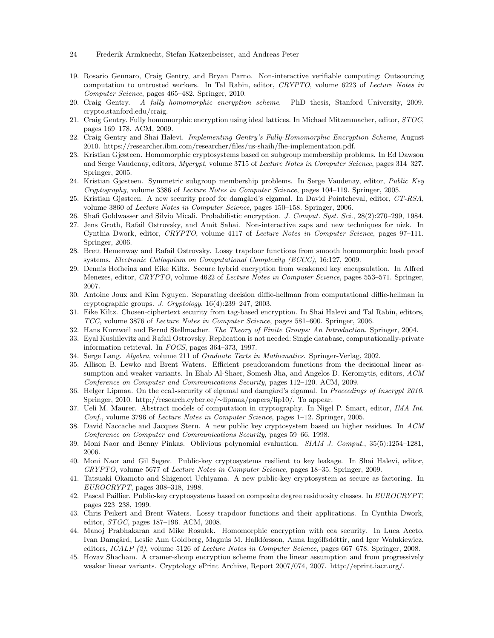- 24 Frederik Armknecht, Stefan Katzenbeisser, and Andreas Peter
- 19. Rosario Gennaro, Craig Gentry, and Bryan Parno. Non-interactive verifiable computing: Outsourcing computation to untrusted workers. In Tal Rabin, editor, *CRYPTO*, volume 6223 of *Lecture Notes in Computer Science*, pages 465–482. Springer, 2010.
- 20. Craig Gentry. *A fully homomorphic encryption scheme*. PhD thesis, Stanford University, 2009. crypto.stanford.edu/craig.
- 21. Craig Gentry. Fully homomorphic encryption using ideal lattices. In Michael Mitzenmacher, editor, *STOC*, pages 169–178. ACM, 2009.
- 22. Craig Gentry and Shai Halevi. *Implementing Gentry's Fully-Homomorphic Encryption Scheme*, August 2010. https://researcher.ibm.com/researcher/files/us-shaih/fhe-implementation.pdf.
- 23. Kristian Gjøsteen. Homomorphic cryptosystems based on subgroup membership problems. In Ed Dawson and Serge Vaudenay, editors, *Mycrypt*, volume 3715 of *Lecture Notes in Computer Science*, pages 314–327. Springer, 2005.
- 24. Kristian Gjøsteen. Symmetric subgroup membership problems. In Serge Vaudenay, editor, *Public Key Cryptography*, volume 3386 of *Lecture Notes in Computer Science*, pages 104–119. Springer, 2005.
- 25. Kristian Gjøsteen. A new security proof for damgård's elgamal. In David Pointcheval, editor, *CT-RSA*, volume 3860 of *Lecture Notes in Computer Science*, pages 150–158. Springer, 2006.
- 26. Shafi Goldwasser and Silvio Micali. Probabilistic encryption. *J. Comput. Syst. Sci.*, 28(2):270–299, 1984.
- 27. Jens Groth, Rafail Ostrovsky, and Amit Sahai. Non-interactive zaps and new techniques for nizk. In Cynthia Dwork, editor, *CRYPTO*, volume 4117 of *Lecture Notes in Computer Science*, pages 97–111. Springer, 2006.
- 28. Brett Hemenway and Rafail Ostrovsky. Lossy trapdoor functions from smooth homomorphic hash proof systems. *Electronic Colloquium on Computational Complexity (ECCC)*, 16:127, 2009.
- 29. Dennis Hofheinz and Eike Kiltz. Secure hybrid encryption from weakened key encapsulation. In Alfred Menezes, editor, *CRYPTO*, volume 4622 of *Lecture Notes in Computer Science*, pages 553–571. Springer, 2007.
- 30. Antoine Joux and Kim Nguyen. Separating decision diffie-hellman from computational diffie-hellman in cryptographic groups. *J. Cryptology*, 16(4):239–247, 2003.
- 31. Eike Kiltz. Chosen-ciphertext security from tag-based encryption. In Shai Halevi and Tal Rabin, editors, *TCC*, volume 3876 of *Lecture Notes in Computer Science*, pages 581–600. Springer, 2006.
- 32. Hans Kurzweil and Bernd Stellmacher. *The Theory of Finite Groups: An Introduction*. Springer, 2004.
- 33. Eyal Kushilevitz and Rafail Ostrovsky. Replication is not needed: Single database, computationally-private information retrieval. In *FOCS*, pages 364–373, 1997.
- 34. Serge Lang. *Algebra*, volume 211 of *Graduate Texts in Mathematics*. Springer-Verlag, 2002.
- 35. Allison B. Lewko and Brent Waters. Efficient pseudorandom functions from the decisional linear assumption and weaker variants. In Ehab Al-Shaer, Somesh Jha, and Angelos D. Keromytis, editors, *ACM Conference on Computer and Communications Security*, pages 112–120. ACM, 2009.
- 36. Helger Lipmaa. On the cca1-security of elgamal and damgård's elgamal. In *Proceedings of Inscrypt 2010*. Springer, 2010. http://research.cyber.ee/∼lipmaa/papers/lip10/. To appear.
- 37. Ueli M. Maurer. Abstract models of computation in cryptography. In Nigel P. Smart, editor, *IMA Int. Conf.*, volume 3796 of *Lecture Notes in Computer Science*, pages 1–12. Springer, 2005.
- 38. David Naccache and Jacques Stern. A new public key cryptosystem based on higher residues. In *ACM Conference on Computer and Communications Security*, pages 59–66, 1998.
- 39. Moni Naor and Benny Pinkas. Oblivious polynomial evaluation. *SIAM J. Comput.*, 35(5):1254–1281, 2006.
- 40. Moni Naor and Gil Segev. Public-key cryptosystems resilient to key leakage. In Shai Halevi, editor, *CRYPTO*, volume 5677 of *Lecture Notes in Computer Science*, pages 18–35. Springer, 2009.
- 41. Tatsuaki Okamoto and Shigenori Uchiyama. A new public-key cryptosystem as secure as factoring. In *EUROCRYPT*, pages 308–318, 1998.
- 42. Pascal Paillier. Public-key cryptosystems based on composite degree residuosity classes. In *EUROCRYPT*, pages 223–238, 1999.
- 43. Chris Peikert and Brent Waters. Lossy trapdoor functions and their applications. In Cynthia Dwork, editor, *STOC*, pages 187–196. ACM, 2008.
- 44. Manoj Prabhakaran and Mike Rosulek. Homomorphic encryption with cca security. In Luca Aceto, Ivan Damgård, Leslie Ann Goldberg, Magnús M. Halldórsson, Anna Ingólfsdóttir, and Igor Walukiewicz, editors, *ICALP (2)*, volume 5126 of *Lecture Notes in Computer Science*, pages 667–678. Springer, 2008.
- 45. Hovav Shacham. A cramer-shoup encryption scheme from the linear assumption and from progressively weaker linear variants. Cryptology ePrint Archive, Report 2007/074, 2007. http://eprint.iacr.org/.